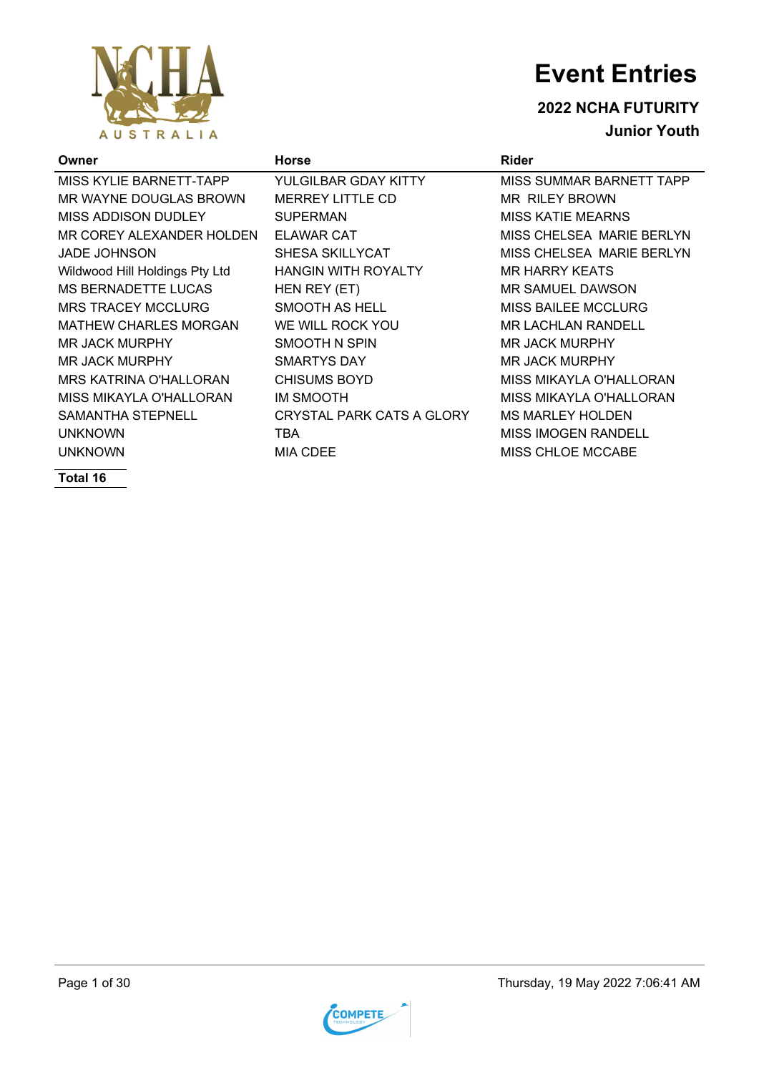

**2022 NCHA FUTURITY Junior Youth**

| Owner                          | <b>Horse</b>               | <b>Rider</b>                    |
|--------------------------------|----------------------------|---------------------------------|
| MISS KYLIE BARNETT-TAPP        | YULGILBAR GDAY KITTY       | <b>MISS SUMMAR BARNETT TAPP</b> |
| MR WAYNE DOUGLAS BROWN         | <b>MERREY LITTLE CD</b>    | <b>MR RILEY BROWN</b>           |
| MISS ADDISON DUDLEY            | <b>SUPERMAN</b>            | <b>MISS KATIE MEARNS</b>        |
| MR COREY ALEXANDER HOLDEN      | <b>ELAWAR CAT</b>          | MISS CHELSEA MARIE BERLYN       |
| <b>JADE JOHNSON</b>            | <b>SHESA SKILLYCAT</b>     | MISS CHELSEA MARIE BERLYN       |
| Wildwood Hill Holdings Pty Ltd | <b>HANGIN WITH ROYALTY</b> | <b>MR HARRY KEATS</b>           |
| MS BERNADETTE LUCAS            | HEN REY (ET)               | MR SAMUEL DAWSON                |
| <b>MRS TRACEY MCCLURG</b>      | SMOOTH AS HELL             | <b>MISS BAILEE MCCLURG</b>      |
| <b>MATHEW CHARLES MORGAN</b>   | WE WILL ROCK YOU           | <b>MR LACHLAN RANDELL</b>       |
| <b>MR JACK MURPHY</b>          | SMOOTH N SPIN              | <b>MR JACK MURPHY</b>           |
| MR JACK MURPHY                 | <b>SMARTYS DAY</b>         | <b>MR JACK MURPHY</b>           |
| MRS KATRINA O'HALLORAN         | <b>CHISUMS BOYD</b>        | MISS MIKAYLA O'HALLORAN         |
| MISS MIKAYLA O'HALLORAN        | IM SMOOTH                  | MISS MIKAYLA O'HALLORAN         |
| SAMANTHA STEPNELL              | CRYSTAL PARK CATS A GLORY  | <b>MS MARLEY HOLDEN</b>         |
| <b>UNKNOWN</b>                 | TBA                        | <b>MISS IMOGEN RANDELL</b>      |
| <b>UNKNOWN</b>                 | <b>MIA CDEE</b>            | <b>MISS CHLOE MCCABE</b>        |
| $T0$ tal 40                    |                            |                                 |

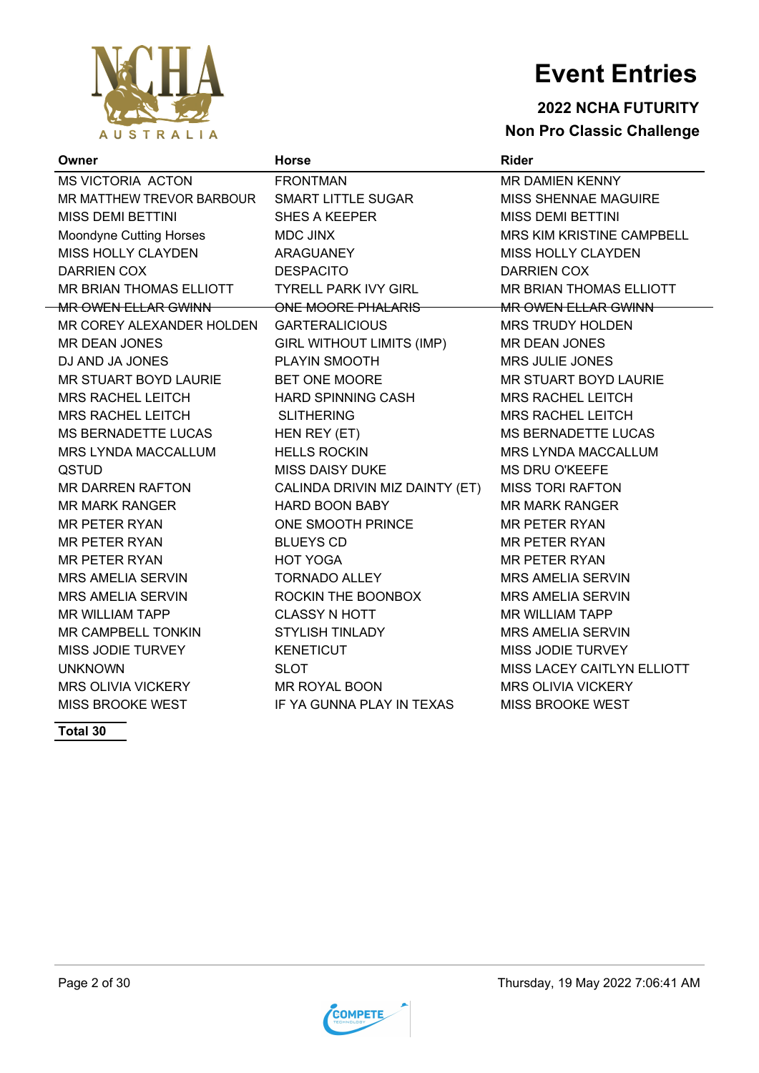

### **2022 NCHA FUTURITY Non Pro Classic Challenge**

| Owner                                           | <b>Horse</b>                   | <b>Rider</b>                |
|-------------------------------------------------|--------------------------------|-----------------------------|
| MS VICTORIA ACTON                               | <b>FRONTMAN</b>                | <b>MR DAMIEN KENNY</b>      |
| MR MATTHEW TREVOR BARBOUR    SMART LITTLE SUGAR |                                | <b>MISS SHENNAE MAGUIRE</b> |
| MISS DEMI BETTINI                               | <b>SHES A KEEPER</b>           | <b>MISS DEMI BETTINI</b>    |
| Moondyne Cutting Horses                         | <b>MDC JINX</b>                | MRS KIM KRISTINE CAMPBELL   |
| MISS HOLLY CLAYDEN                              | ARAGUANEY                      | <b>MISS HOLLY CLAYDEN</b>   |
| <b>DARRIEN COX</b>                              | <b>DESPACITO</b>               | <b>DARRIEN COX</b>          |
| MR BRIAN THOMAS ELLIOTT                         | <b>TYRELL PARK IVY GIRL</b>    | MR BRIAN THOMAS ELLIOTT     |
| <b>MR OWEN ELLAR GWINN</b>                      | ONE MOORE PHALARIS             | MR OWEN ELLAR GWINN         |
| MR COREY ALEXANDER HOLDEN GARTERALICIOUS        |                                | <b>MRS TRUDY HOLDEN</b>     |
| <b>MR DEAN JONES</b>                            | GIRL WITHOUT LIMITS (IMP)      | <b>MR DEAN JONES</b>        |
| DJ AND JA JONES                                 | PLAYIN SMOOTH                  | <b>MRS JULIE JONES</b>      |
| MR STUART BOYD LAURIE                           | BET ONE MOORE                  | MR STUART BOYD LAURIE       |
| <b>MRS RACHEL LEITCH</b>                        | HARD SPINNING CASH             | <b>MRS RACHEL LEITCH</b>    |
| <b>MRS RACHEL LEITCH</b>                        | <b>SLITHERING</b>              | <b>MRS RACHEL LEITCH</b>    |
| MS BERNADETTE LUCAS                             | HEN REY (ET)                   | <b>MS BERNADETTE LUCAS</b>  |
| <b>MRS LYNDA MACCALLUM</b>                      | <b>HELLS ROCKIN</b>            | <b>MRS LYNDA MACCALLUM</b>  |
| QSTUD                                           | <b>MISS DAISY DUKE</b>         | <b>MS DRU O'KEEFE</b>       |
| MR DARREN RAFTON                                | CALINDA DRIVIN MIZ DAINTY (ET) | <b>MISS TORI RAFTON</b>     |
| <b>MR MARK RANGER</b>                           | <b>HARD BOON BABY</b>          | <b>MR MARK RANGER</b>       |
| MR PETER RYAN                                   | ONE SMOOTH PRINCE              | <b>MR PETER RYAN</b>        |
| MR PETER RYAN                                   | <b>BLUEYS CD</b>               | <b>MR PETER RYAN</b>        |
| <b>MR PETER RYAN</b>                            | <b>HOT YOGA</b>                | <b>MR PETER RYAN</b>        |
| MRS AMELIA SERVIN                               | <b>TORNADO ALLEY</b>           | <b>MRS AMELIA SERVIN</b>    |
| <b>MRS AMELIA SERVIN</b>                        | ROCKIN THE BOONBOX             | <b>MRS AMELIA SERVIN</b>    |
| <b>MR WILLIAM TAPP</b>                          | <b>CLASSY N HOTT</b>           | <b>MR WILLIAM TAPP</b>      |
| MR CAMPBELL TONKIN                              | <b>STYLISH TINLADY</b>         | <b>MRS AMELIA SERVIN</b>    |
| MISS JODIE TURVEY                               | <b>KENETICUT</b>               | MISS JODIE TURVEY           |
| <b>UNKNOWN</b>                                  | <b>SLOT</b>                    | MISS LACEY CAITLYN ELLIOTT  |
| MRS OLIVIA VICKERY                              | MR ROYAL BOON                  | <b>MRS OLIVIA VICKERY</b>   |
| MISS BROOKE WEST                                | IF YA GUNNA PLAY IN TEXAS      | <b>MISS BROOKE WEST</b>     |

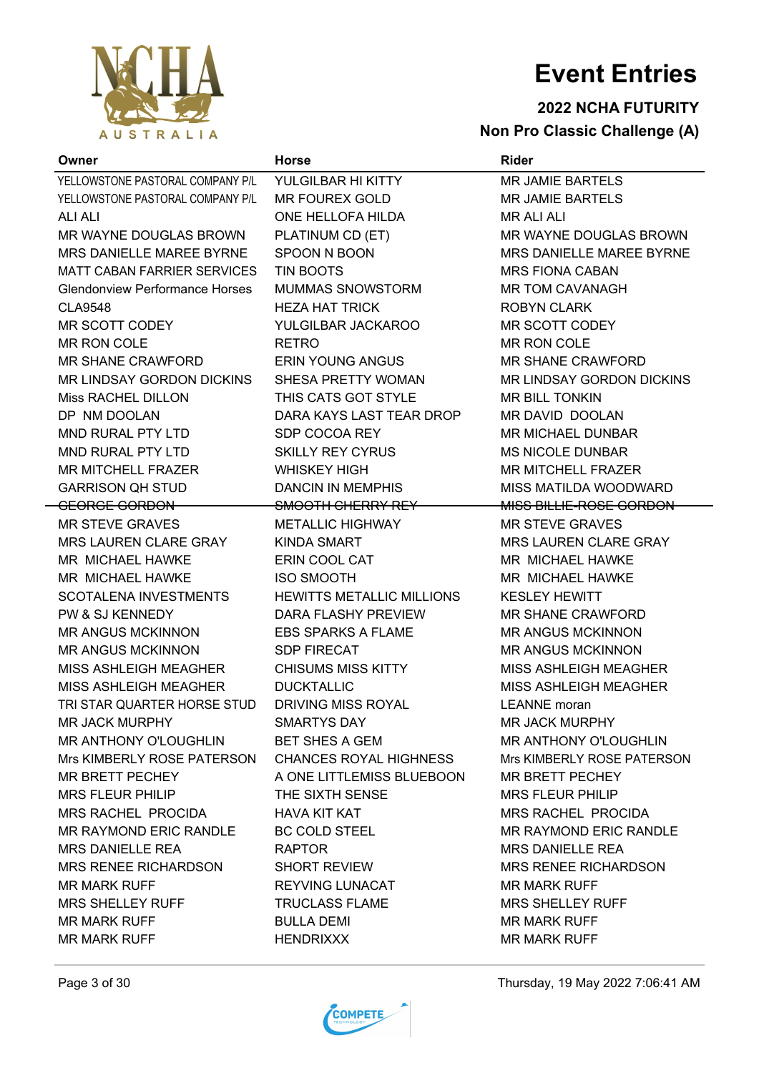

#### **2022 NCHA FUTURITY Non Pro Classic Challenge (A)**

**Owner Horse Rider** YELLOWSTONE PASTORAL COMPANY P/L YULGILBAR HI KITTY MAN ANG JAMIE BARTELS YELLOWSTONE PASTORAL COMPANY P/L MR FOUREX GOLD MR JAMIE BARTELS ALI ALI ONE HELLOFA HILDA MR ALI ALI MR WAYNE DOUGLAS BROWN PLATINUM CD (ET) MR WAYNE DOUGLAS BROWN MRS DANIELLE MAREE BYRNE SPOON N BOON MRS DANIELLE MAREE BYRNE MATT CABAN FARRIER SERVICES TIN BOOTS MATT CABAN MAS FIONA CABAN Glendonview Performance Horses MUMMAS SNOWSTORM MR TOM CAVANAGH CLA9548 HEZA HAT TRICK ROBYN CLARK MR SCOTT CODEY YULGILBAR JACKAROO MR SCOTT CODEY MR RON COLE RETRO RETRO MR RON COLE MR SHANE CRAWFORD ERIN YOUNG ANGUS MR SHANE CRAWFORD MR LINDSAY GORDON DICKINS SHESA PRETTY WOMAN MR LINDSAY GORDON DICKINS Miss RACHEL DILLON THIS CATS GOT STYLE MR BILL TONKIN DP NM DOOLAN DARA KAYS LAST TEAR DROP MR DAVID DOOLAN MND RURAL PTY LTD SDP COCOA REY MR MICHAEL DUNBAR MND RURAL PTY LTD SKILLY REY CYRUS MS NICOLE DUNBAR MR MITCHELL FRAZER WHISKEY HIGH MR MITCHELL FRAZER GARRISON QH STUD DANCIN IN MEMPHIS MISS MATILDA WOODWARD GEORGE GORDON SMOOTH CHERRY REY MISS BILLIE-ROSE GORDON MR STEVE GRAVES **METALLIC HIGHWAY** MR STEVE GRAVES MRS LAUREN CLARE GRAY KINDA SMART MRS LAUREN CLARE GRAY MR MICHAEL HAWKE **ERIN COOL CAT THE MR MICHAEL HAWKE** MR MICHAEL HAWKE ISO SMOOTH MR MICHAEL HAWKE SCOTALENA INVESTMENTS HEWITTS METALLIC MILLIONS KESLEY HEWITT PW & SJ KENNEDY DARA FLASHY PREVIEW MR SHANE CRAWFORD MR ANGUS MCKINNON EBS SPARKS A FLAME MR ANGUS MCKINNON MR ANGUS MCKINNON SDP FIRECAT MR ANGUS MCKINNON MISS ASHLEIGH MEAGHER CHISUMS MISS KITTY MISS ASHLEIGH MEAGHER MISS ASHLEIGH MEAGHER DUCKTALLIC MISS ASHLEIGH MEAGHER TRI STAR QUARTER HORSE STUD DRIVING MISS ROYAL LEANNE moran MR JACK MURPHY SMARTYS DAY MR JACK MURPHY MR ANTHONY O'LOUGHLIN BET SHES A GEM MR ANTHONY O'LOUGHLIN Mrs KIMBERLY ROSE PATERSON CHANCES ROYAL HIGHNESS Mrs KIMBERLY ROSE PATERSON MR BRETT PECHEY A ONE LITTLEMISS BLUEBOON MR BRETT PECHEY MRS FLEUR PHILIP THE SIXTH SENSE THE MRS FLEUR PHILIP MRS RACHEL PROCIDA HAVA KIT KAT MRS RACHEL PROCIDA MR RAYMOND ERIC RANDLE BC COLD STEEL MR RAYMOND ERIC RANDLE MRS DANIELLE REA RAPTOR NEW MRS DANIELLE REA MRS RENEE RICHARDSON SHORT REVIEW MRS RENEE RICHARDSON MR MARK RUFF **REYVING LUNACAT** MR MARK RUFF MR MARK RUFF MRS SHELLEY RUFF TRUCLASS FLAME MRS SHELLEY RUFF MR MARK RUFF BULLA DEMI MR MARK RUFF BULLA DEMI

**AUSTRALIA** 





MR MARK RUFF **HENDRIXXX** MR MARK RUFF **MR MARK RUFF**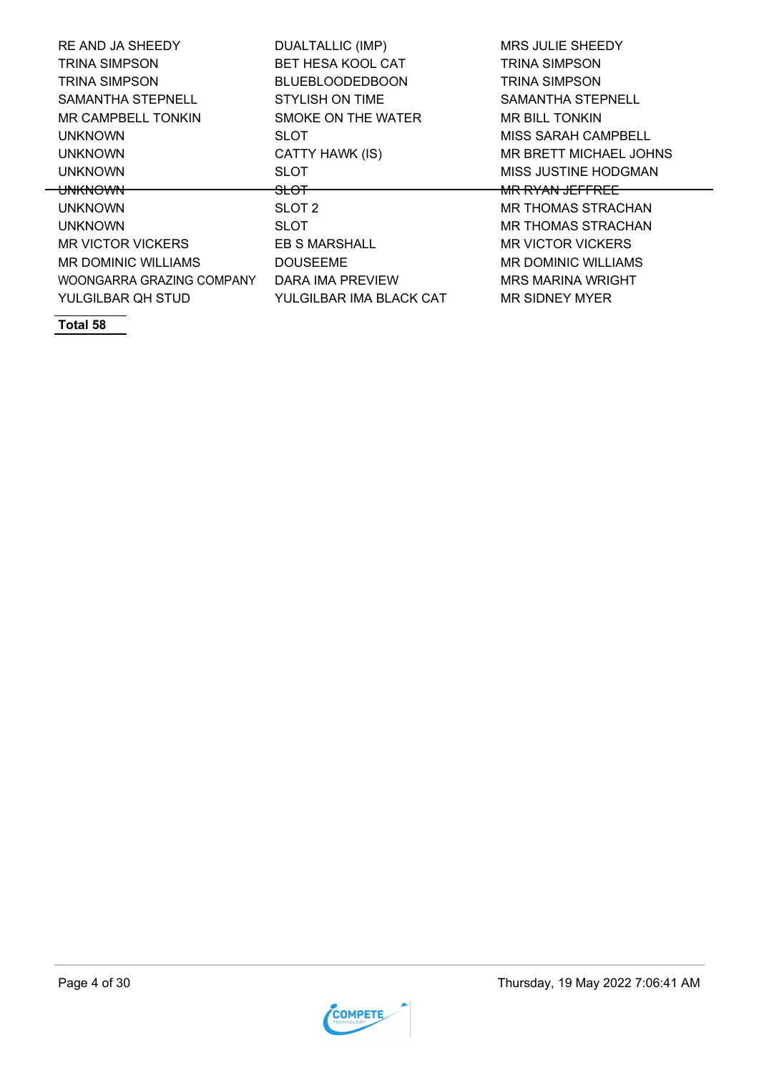| RE AND JA SHEEDY          | <b>DUALTALLIC (IMP)</b>  | <b>MRS JULIE SHEEDY</b>    |
|---------------------------|--------------------------|----------------------------|
| <b>TRINA SIMPSON</b>      | <b>BET HESA KOOL CAT</b> | <b>TRINA SIMPSON</b>       |
| <b>TRINA SIMPSON</b>      | <b>BLUEBLOODEDBOON</b>   | <b>TRINA SIMPSON</b>       |
| <b>SAMANTHA STEPNELL</b>  | STYLISH ON TIME          | <b>SAMANTHA STEPNELL</b>   |
| MR CAMPBELL TONKIN        | SMOKE ON THE WATER       | MR BILL TONKIN             |
| <b>UNKNOWN</b>            | SLOT                     | <b>MISS SARAH CAMPBELL</b> |
| <b>UNKNOWN</b>            | CATTY HAWK (IS)          | MR BRETT MICHAEL JOHNS     |
| <b>UNKNOWN</b>            | SLOT                     | MISS JUSTINE HODGMAN       |
| <del>UNKNOWN</del>        | <del>SLOT</del>          | <del>MR RYAN JEFFREE</del> |
| <b>UNKNOWN</b>            | SLOT 2                   | MR THOMAS STRACHAN         |
| <b>UNKNOWN</b>            | SLOT                     | MR THOMAS STRACHAN         |
| <b>MR VICTOR VICKERS</b>  | EB S MARSHALL            | <b>MR VICTOR VICKERS</b>   |
| MR DOMINIC WILLIAMS       | DOUSEEME                 | <b>MR DOMINIC WILLIAMS</b> |
| WOONGARRA GRAZING COMPANY | DARA IMA PREVIEW         | <b>MRS MARINA WRIGHT</b>   |
| YULGILBAR QH STUD         | YULGILBAR IMA BLACK CAT  | MR SIDNEY MYER             |
|                           |                          |                            |

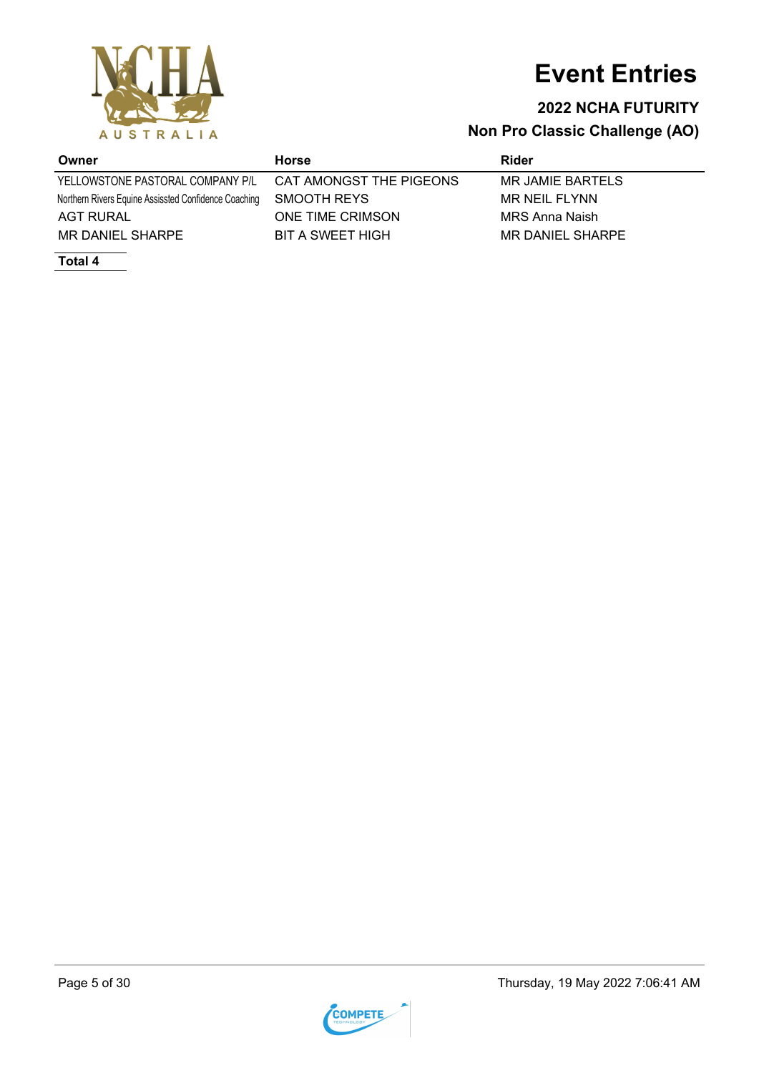

### **2022 NCHA FUTURITY**

**Non Pro Classic Challenge (AO)**

YELLOWSTONE PASTORAL COMPANY P/L CAT AMONGST THE PIGEONS MR JAMIE BARTELS Northern Rivers Equine Assissted Confidence Coaching SMOOTH REYS MR NEIL FLYNN AGT RURAL **ONE TIME CRIMSON** MRS Anna Naish MR DANIEL SHARPE BIT A SWEET HIGH MR DANIEL SHARPE

**Total 4**

**Owner Horse Rider**

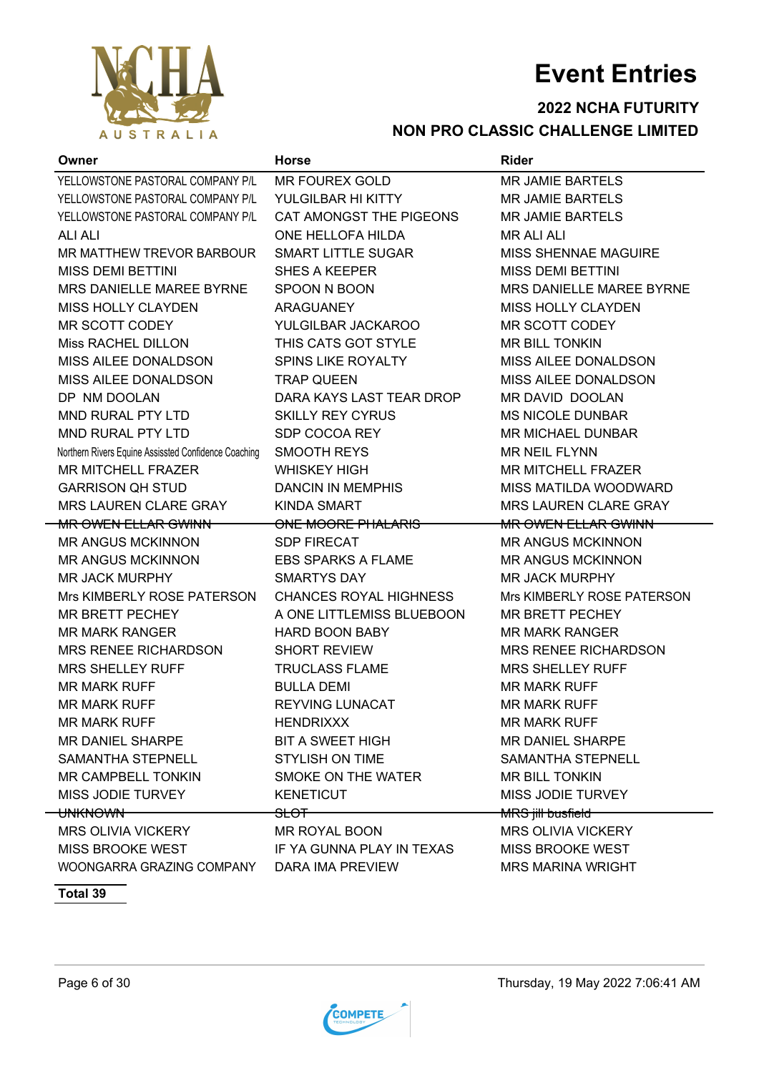

#### **2022 NCHA FUTURITY NON PRO CLASSIC CHALLENGE LIMITED**

| Owner                                                | <b>Horse</b>                  | <b>Rider</b>                 |
|------------------------------------------------------|-------------------------------|------------------------------|
| YELLOWSTONE PASTORAL COMPANY P/L                     | <b>MR FOUREX GOLD</b>         | <b>MR JAMIE BARTELS</b>      |
| YELLOWSTONE PASTORAL COMPANY P/L                     | YULGILBAR HI KITTY            | <b>MR JAMIE BARTELS</b>      |
| YELLOWSTONE PASTORAL COMPANY P/L                     | CAT AMONGST THE PIGEONS       | <b>MR JAMIE BARTELS</b>      |
| <b>ALI ALI</b>                                       | ONE HELLOFA HILDA             | <b>MR ALI ALI</b>            |
| MR MATTHEW TREVOR BARBOUR                            | <b>SMART LITTLE SUGAR</b>     | MISS SHENNAE MAGUIRE         |
| <b>MISS DEMI BETTINI</b>                             | <b>SHES A KEEPER</b>          | <b>MISS DEMI BETTINI</b>     |
| MRS DANIELLE MAREE BYRNE                             | SPOON N BOON                  | MRS DANIELLE MAREE BYRNE     |
| MISS HOLLY CLAYDEN                                   | <b>ARAGUANEY</b>              | <b>MISS HOLLY CLAYDEN</b>    |
| MR SCOTT CODEY                                       | YULGILBAR JACKAROO            | <b>MR SCOTT CODEY</b>        |
| Miss RACHEL DILLON                                   | THIS CATS GOT STYLE           | <b>MR BILL TONKIN</b>        |
| MISS AILEE DONALDSON                                 | <b>SPINS LIKE ROYALTY</b>     | MISS AILEE DONALDSON         |
| MISS AILEE DONALDSON                                 | <b>TRAP QUEEN</b>             | MISS AILEE DONALDSON         |
| DP NM DOOLAN                                         | DARA KAYS LAST TEAR DROP      | MR DAVID DOOLAN              |
| MND RURAL PTY LTD                                    | <b>SKILLY REY CYRUS</b>       | <b>MS NICOLE DUNBAR</b>      |
| <b>MND RURAL PTY LTD</b>                             | SDP COCOA REY                 | <b>MR MICHAEL DUNBAR</b>     |
| Northern Rivers Equine Assissted Confidence Coaching | <b>SMOOTH REYS</b>            | <b>MR NEIL FLYNN</b>         |
| <b>MR MITCHELL FRAZER</b>                            | <b>WHISKEY HIGH</b>           | <b>MR MITCHELL FRAZER</b>    |
| <b>GARRISON QH STUD</b>                              | <b>DANCIN IN MEMPHIS</b>      | MISS MATILDA WOODWARD        |
| MRS LAUREN CLARE GRAY                                | <b>KINDA SMART</b>            | <b>MRS LAUREN CLARE GRAY</b> |
| <b>MR OWEN ELLAR GWINN</b>                           | ONE MOORE PHALARIS            | <b>MR OWEN ELLAR GWINN</b>   |
| <b>MR ANGUS MCKINNON</b>                             | <b>SDP FIRECAT</b>            | <b>MR ANGUS MCKINNON</b>     |
| <b>MR ANGUS MCKINNON</b>                             | <b>EBS SPARKS A FLAME</b>     | <b>MR ANGUS MCKINNON</b>     |
| <b>MR JACK MURPHY</b>                                | <b>SMARTYS DAY</b>            | <b>MR JACK MURPHY</b>        |
| Mrs KIMBERLY ROSE PATERSON                           | <b>CHANCES ROYAL HIGHNESS</b> | Mrs KIMBERLY ROSE PATERSON   |
| MR BRETT PECHEY                                      | A ONE LITTLEMISS BLUEBOON     | <b>MR BRETT PECHEY</b>       |
| <b>MR MARK RANGER</b>                                | <b>HARD BOON BABY</b>         | <b>MR MARK RANGER</b>        |
| <b>MRS RENEE RICHARDSON</b>                          | <b>SHORT REVIEW</b>           | <b>MRS RENEE RICHARDSON</b>  |
| <b>MRS SHELLEY RUFF</b>                              | <b>TRUCLASS FLAME</b>         | <b>MRS SHELLEY RUFF</b>      |
| <b>MR MARK RUFF</b>                                  | <b>BULLA DEMI</b>             | <b>MR MARK RUFF</b>          |
| <b>MR MARK RUFF</b>                                  | <b>REYVING LUNACAT</b>        | <b>MR MARK RUFF</b>          |
| <b>MR MARK RUFF</b>                                  | HENDRIXXX                     | <b>MR MARK RUFF</b>          |
| MR DANIEL SHARPE                                     | BIT A SWEET HIGH              | MR DANIEL SHARPE             |
| SAMANTHA STEPNELL                                    | STYLISH ON TIME               | SAMANTHA STEPNELL            |
| MR CAMPBELL TONKIN                                   | SMOKE ON THE WATER            | <b>MR BILL TONKIN</b>        |
| MISS JODIE TURVEY                                    | <b>KENETICUT</b>              | MISS JODIE TURVEY            |
| <del>UNKNOWN -</del>                                 | <del>SLOT –</del>             | MRS jill busfield            |
| MRS OLIVIA VICKERY                                   | MR ROYAL BOON                 | <b>MRS OLIVIA VICKERY</b>    |
| MISS BROOKE WEST IF YA GUNNA PLAY IN TEXAS           |                               | MISS BROOKE WEST             |
| WOONGARRA GRAZING COMPANY                            | DARA IMA PREVIEW              | <b>MRS MARINA WRIGHT</b>     |

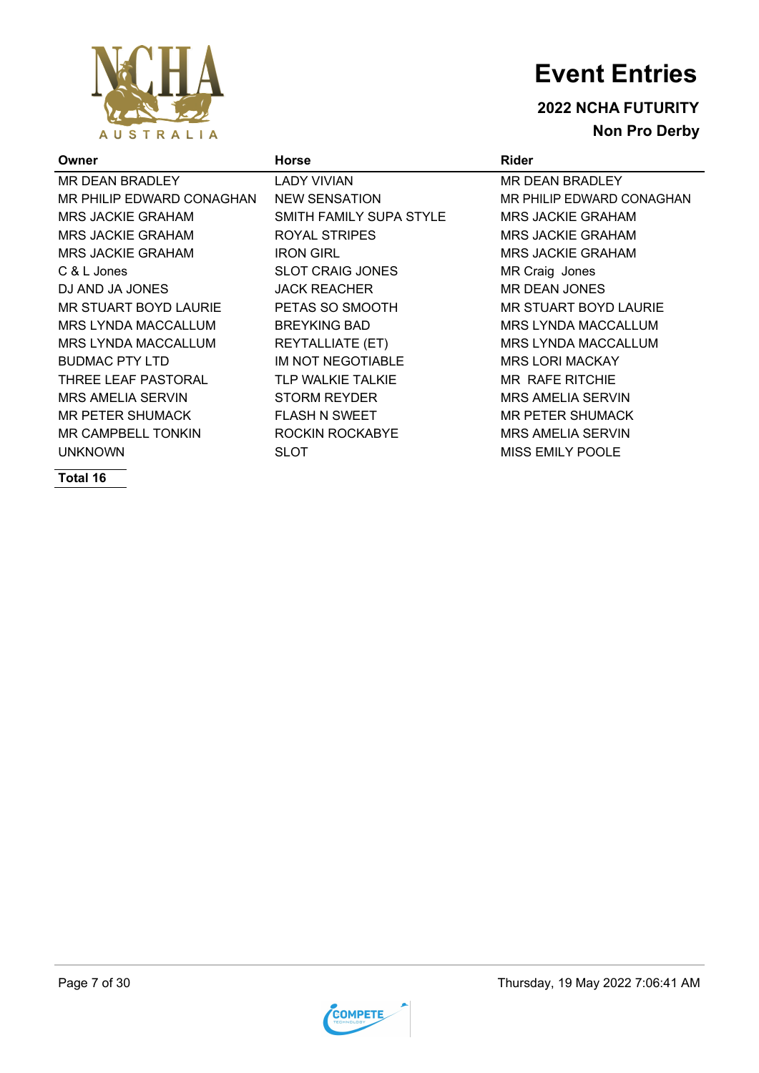

**2022 NCHA FUTURITY Non Pro Derby**

| Owner                     | <b>Horse</b>             | <b>Rider</b>               |
|---------------------------|--------------------------|----------------------------|
| MR DEAN BRADLEY           | LADY VIVIAN              | MR DEAN BRADLEY            |
| MR PHILIP EDWARD CONAGHAN | <b>NEW SENSATION</b>     | MR PHILIP EDWARD CONAGHAN  |
| <b>MRS JACKIE GRAHAM</b>  | SMITH FAMILY SUPA STYLE  | <b>MRS JACKIE GRAHAM</b>   |
| <b>MRS JACKIE GRAHAM</b>  | ROYAL STRIPES            | <b>MRS JACKIE GRAHAM</b>   |
| <b>MRS JACKIE GRAHAM</b>  | <b>IRON GIRL</b>         | <b>MRS JACKIE GRAHAM</b>   |
| C & L Jones               | <b>SLOT CRAIG JONES</b>  | MR Craig Jones             |
| DJ AND JA JONES           | <b>JACK REACHER</b>      | MR DEAN JONES              |
| MR STUART BOYD LAURIE     | PETAS SO SMOOTH          | MR STUART BOYD LAURIE      |
| MRS LYNDA MACCALLUM       | <b>BREYKING BAD</b>      | MRS LYNDA MACCALLUM        |
| MRS LYNDA MACCALLUM       | <b>REYTALLIATE (ET)</b>  | <b>MRS LYNDA MACCALLUM</b> |
| <b>BUDMAC PTY LTD</b>     | <b>IM NOT NEGOTIABLE</b> | <b>MRS LORI MACKAY</b>     |
| THREE LEAF PASTORAL       | <b>TLP WALKIE TALKIE</b> | <b>MR RAFE RITCHIE</b>     |
| <b>MRS AMELIA SERVIN</b>  | <b>STORM REYDER</b>      | <b>MRS AMELIA SERVIN</b>   |
| MR PETER SHUMACK          | <b>FLASH N SWEET</b>     | <b>MR PETER SHUMACK</b>    |
| <b>MR CAMPBELL TONKIN</b> | ROCKIN ROCKABYE          | <b>MRS AMELIA SERVIN</b>   |
| <b>UNKNOWN</b>            | SLOT                     | <b>MISS EMILY POOLE</b>    |
|                           |                          |                            |

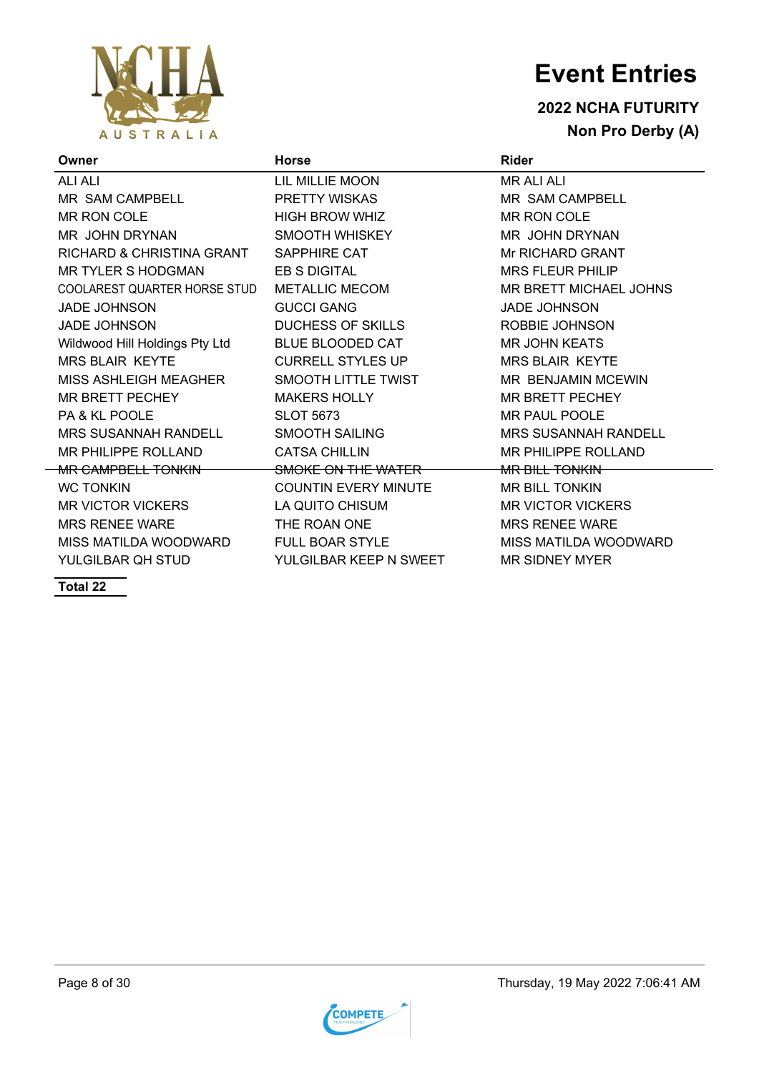

### **2022 NCHA FUTURITY Non Pro Derby (A)**

| Owner                                       | <b>Horse</b>                | <b>Rider</b>                |
|---------------------------------------------|-----------------------------|-----------------------------|
| <b>ALI ALI</b>                              | LIL MILLIE MOON             | <b>MR ALI ALI</b>           |
| MR SAM CAMPBELL                             | PRETTY WISKAS               | MR SAM CAMPBELL             |
| MR RON COLE                                 | <b>HIGH BROW WHIZ</b>       | MR RON COLE                 |
| MR JOHN DRYNAN                              | SMOOTH WHISKEY              | MR JOHN DRYNAN              |
| RICHARD & CHRISTINA GRANT                   | <b>SAPPHIRE CAT</b>         | Mr RICHARD GRANT            |
| MR TYLER S HODGMAN                          | EB S DIGITAL                | <b>MRS FLEUR PHILIP</b>     |
| COOLAREST QUARTER HORSE STUD METALLIC MECOM |                             | MR BRETT MICHAEL JOHNS      |
| <b>JADE JOHNSON</b>                         | <b>GUCCI GANG</b>           | <b>JADE JOHNSON</b>         |
| <b>JADE JOHNSON</b>                         | <b>DUCHESS OF SKILLS</b>    | ROBBIE JOHNSON              |
| Wildwood Hill Holdings Pty Ltd              | <b>BLUE BLOODED CAT</b>     | <b>MR JOHN KEATS</b>        |
| <b>MRS BLAIR KEYTE</b>                      | <b>CURRELL STYLES UP</b>    | <b>MRS BLAIR KEYTE</b>      |
| MISS ASHLEIGH MEAGHER                       | SMOOTH LITTLE TWIST         | <b>MR BENJAMIN MCEWIN</b>   |
| <b>MR BRETT PECHEY</b>                      | <b>MAKERS HOLLY</b>         | <b>MR BRETT PECHEY</b>      |
| <b>PA &amp; KL POOLE</b>                    | <b>SLOT 5673</b>            | MR PAUL POOLE               |
| <b>MRS SUSANNAH RANDELL</b>                 | <b>SMOOTH SAILING</b>       | <b>MRS SUSANNAH RANDELL</b> |
| MR PHILIPPE ROLLAND                         | <b>CATSA CHILLIN</b>        | MR PHILIPPE ROLLAND         |
| <b>MR CAMPBELL TONKIN</b>                   | SMOKE ON THE WATER          | <b>MR BILL TONKIN</b>       |
| <b>WC TONKIN</b>                            | <b>COUNTIN EVERY MINUTE</b> | MR BILL TONKIN              |
| <b>MR VICTOR VICKERS</b>                    | LA QUITO CHISUM             | <b>MR VICTOR VICKERS</b>    |
| <b>MRS RENEE WARE</b>                       | THE ROAN ONE                | <b>MRS RENEE WARE</b>       |
| MISS MATILDA WOODWARD                       | <b>FULL BOAR STYLE</b>      | MISS MATILDA WOODWARD       |
| YULGILBAR QH STUD                           | YULGILBAR KEEP N SWEET      | <b>MR SIDNEY MYER</b>       |

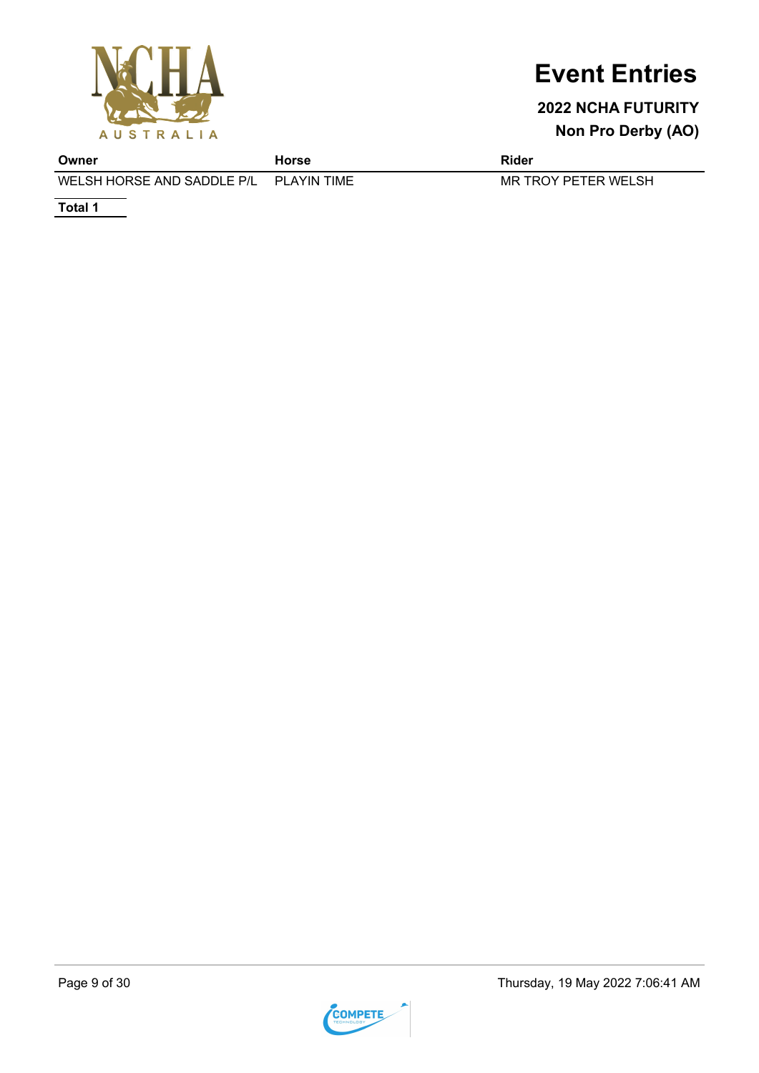

### **2022 NCHA FUTURITY Non Pro Derby (AO)**

**Owner Horse Rider** WELSH HORSE AND SADDLE P/L PLAYIN TIME MR TROY PETER WELSH

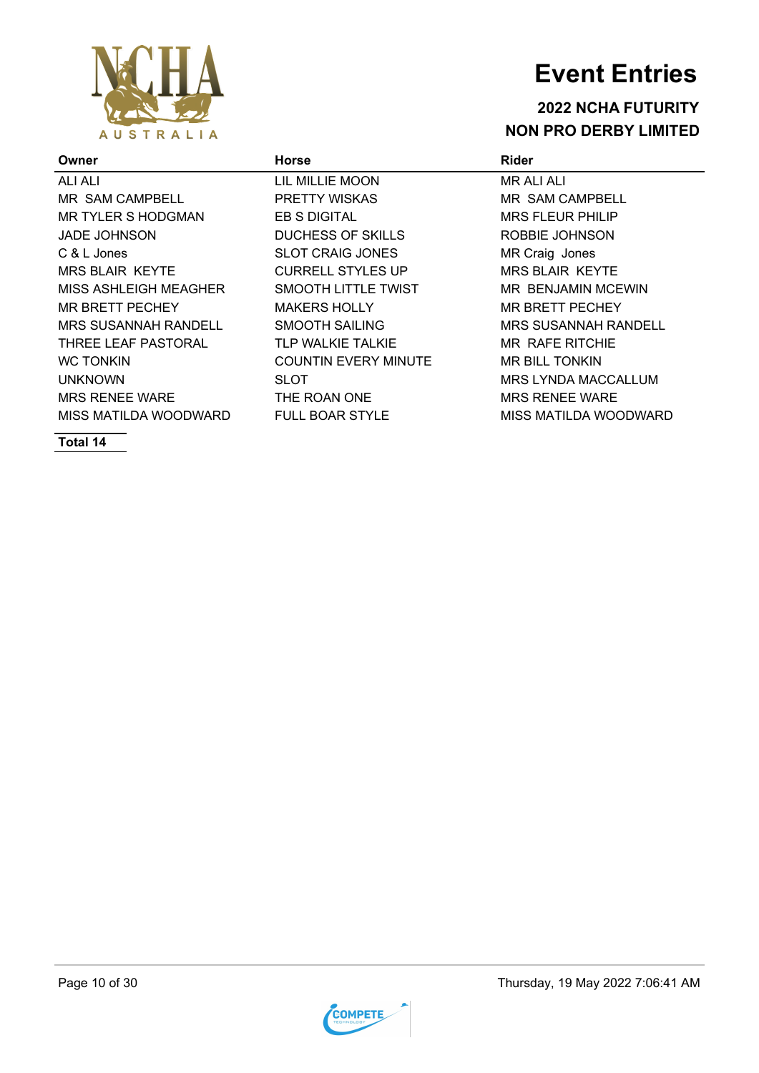

#### **2022 NCHA FUTURITY NON PRO DERBY LIMITED**

#### **Owner Horse Rider** ALI ALI LIL MILLIE MOON MR ALI ALI MR SAM CAMPBELL PRETTY WISKAS MR SAM CAMPBELL MR TYLER S HODGMAN EB S DIGITAL ERITY ON STEEVER PHILIP JADE JOHNSON DUCHESS OF SKILLS ROBBIE JOHNSON C & L Jones **SLOT CRAIG JONES** MR Craig Jones MRS BLAIR KEYTE CURRELL STYLES UP MRS BLAIR KEYTE MISS ASHLEIGH MEAGHER SMOOTH LITTLE TWIST **MRIBENJAMIN MCEWIN** MR BRETT PECHEY MAKERS HOLLY MR BRETT PECHEY MRS SUSANNAH RANDELL SMOOTH SAILING MRS SUSANNAH RANDELL THREE LEAF PASTORAL TLP WALKIE TALKIE MR RAFE RITCHIE WC TONKIN **EXAMPLE COUNTIN EVERY MINUTE** MR BILL TONKIN

UNKNOWN SLOT MRS LYNDA MACCALLUM

MISS MATILDA WOODWARD FULL BOAR STYLE MISS MATILDA WOODWARD

MRS RENEE WARE THE ROAN ONE THE MRS RENEE WARE

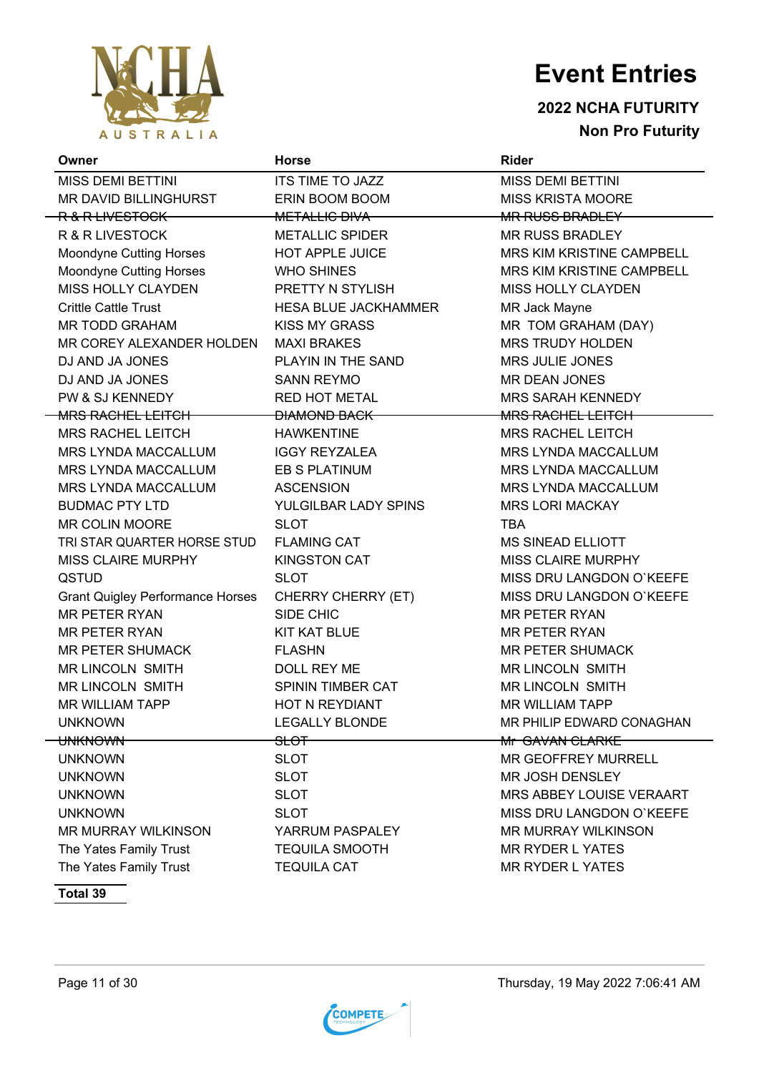

#### **2022 NCHA FUTURITY Non Pro Futurity**

| Owner                                   | <b>Horse</b>                | <b>Rider</b>                |
|-----------------------------------------|-----------------------------|-----------------------------|
| <b>MISS DEMI BETTINI</b>                | ITS TIME TO JAZZ            | <b>MISS DEMI BETTINI</b>    |
| MR DAVID BILLINGHURST                   | ERIN BOOM BOOM              | <b>MISS KRISTA MOORE</b>    |
| R & R LIVESTOCK                         | <b>METALLIC DIVA</b>        | <b>MR RUSS BRADLEY</b>      |
| <b>R &amp; R LIVESTOCK</b>              | <b>METALLIC SPIDER</b>      | <b>MR RUSS BRADLEY</b>      |
| Moondyne Cutting Horses                 | HOT APPLE JUICE             | MRS KIM KRISTINE CAMPBELL   |
| Moondyne Cutting Horses                 | <b>WHO SHINES</b>           | MRS KIM KRISTINE CAMPBELL   |
| MISS HOLLY CLAYDEN                      | PRETTY N STYLISH            | <b>MISS HOLLY CLAYDEN</b>   |
| <b>Crittle Cattle Trust</b>             | <b>HESA BLUE JACKHAMMER</b> | MR Jack Mayne               |
| <b>MR TODD GRAHAM</b>                   | <b>KISS MY GRASS</b>        | MR TOM GRAHAM (DAY)         |
| MR COREY ALEXANDER HOLDEN               | <b>MAXI BRAKES</b>          | <b>MRS TRUDY HOLDEN</b>     |
| DJ AND JA JONES                         | PLAYIN IN THE SAND          | MRS JULIE JONES             |
| DJ AND JA JONES                         | <b>SANN REYMO</b>           | <b>MR DEAN JONES</b>        |
| PW & SJ KENNEDY                         | <b>RED HOT METAL</b>        | <b>MRS SARAH KENNEDY</b>    |
| <b>MRS RACHEL LEITCH-</b>               | <b>DIAMOND BACK</b>         | <b>MRS RACHEL LEITCH-</b>   |
| <b>MRS RACHEL LEITCH</b>                | <b>HAWKENTINE</b>           | <b>MRS RACHEL LEITCH</b>    |
| MRS LYNDA MACCALLUM                     | <b>IGGY REYZALEA</b>        | <b>MRS LYNDA MACCALLUM</b>  |
| MRS LYNDA MACCALLUM                     | EB S PLATINUM               | <b>MRS LYNDA MACCALLUM</b>  |
| <b>MRS LYNDA MACCALLUM</b>              | <b>ASCENSION</b>            | <b>MRS LYNDA MACCALLUM</b>  |
| <b>BUDMAC PTY LTD</b>                   | YULGILBAR LADY SPINS        | <b>MRS LORI MACKAY</b>      |
| MR COLIN MOORE                          | <b>SLOT</b>                 | <b>TBA</b>                  |
| TRI STAR QUARTER HORSE STUD             | <b>FLAMING CAT</b>          | <b>MS SINEAD ELLIOTT</b>    |
| <b>MISS CLAIRE MURPHY</b>               | <b>KINGSTON CAT</b>         | <b>MISS CLAIRE MURPHY</b>   |
| QSTUD                                   | <b>SLOT</b>                 | MISS DRU LANGDON O'KEEFE    |
| <b>Grant Quigley Performance Horses</b> | CHERRY CHERRY (ET)          | MISS DRU LANGDON O'KEEFE    |
| <b>MR PETER RYAN</b>                    | SIDE CHIC                   | <b>MR PETER RYAN</b>        |
| <b>MR PETER RYAN</b>                    | <b>KIT KAT BLUE</b>         | <b>MR PETER RYAN</b>        |
| <b>MR PETER SHUMACK</b>                 | <b>FLASHN</b>               | <b>MR PETER SHUMACK</b>     |
| MR LINCOLN SMITH                        | DOLL REY ME                 | <b>MR LINCOLN SMITH</b>     |
| <b>MR LINCOLN SMITH</b>                 | SPININ TIMBER CAT           | <b>MR LINCOLN SMITH</b>     |
| <b>MR WILLIAM TAPP</b>                  | HOT N REYDIANT              | <b>MR WILLIAM TAPP</b>      |
| <b>UNKNOWN</b>                          | <b>LEGALLY BLONDE</b>       | MR PHILIP EDWARD CONAGHAN   |
| <del>UNKNOWN</del>                      | <del>SLOT</del>             | <del>Mr_GAVAN CLARKE_</del> |
| <b>UNKNOWN</b>                          | <b>SLOT</b>                 | MR GEOFFREY MURRELL         |
| <b>UNKNOWN</b>                          | <b>SLOT</b>                 | MR JOSH DENSLEY             |
| <b>UNKNOWN</b>                          | <b>SLOT</b>                 | MRS ABBEY LOUISE VERAART    |
| <b>UNKNOWN</b>                          | <b>SLOT</b>                 | MISS DRU LANGDON O'KEEFE    |
| MR MURRAY WILKINSON                     | YARRUM PASPALEY             | <b>MR MURRAY WILKINSON</b>  |
| The Yates Family Trust                  | <b>TEQUILA SMOOTH</b>       | <b>MR RYDER L YATES</b>     |
| The Yates Family Trust                  | <b>TEQUILA CAT</b>          | <b>MR RYDER L YATES</b>     |

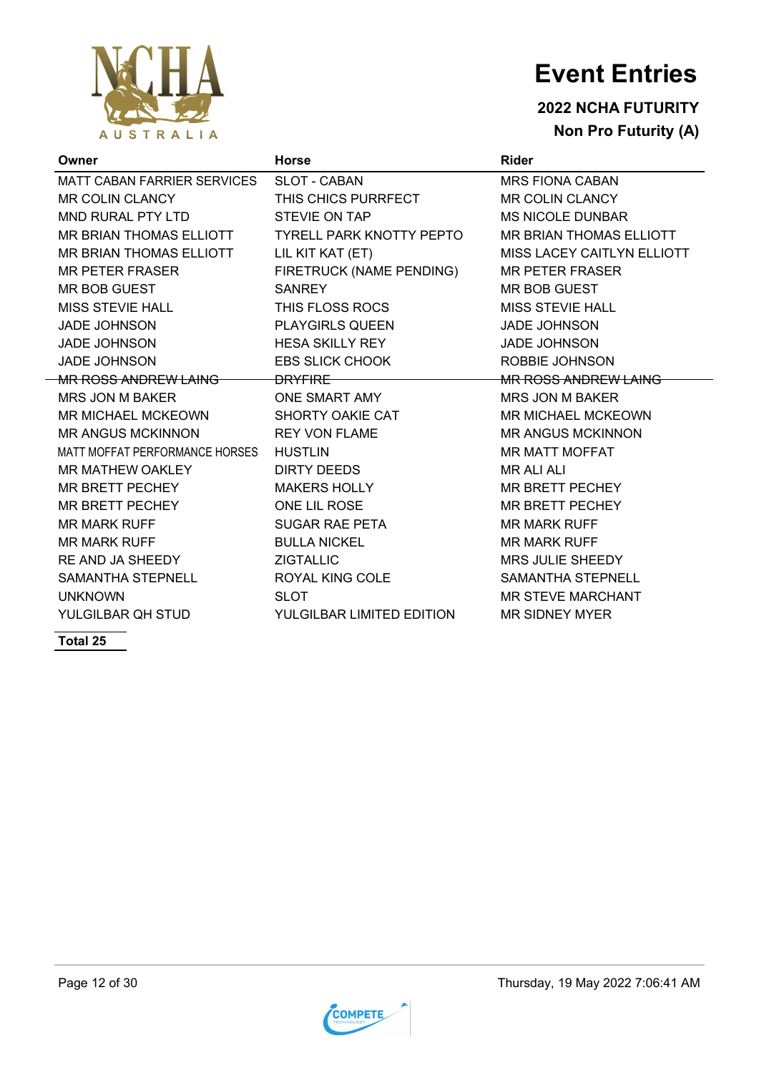

### **2022 NCHA FUTURITY Non Pro Futurity (A)**

| Owner                                  | <b>Horse</b>              | <b>Rider</b>                |
|----------------------------------------|---------------------------|-----------------------------|
| MATT CABAN FARRIER SERVICES            | <b>SLOT - CABAN</b>       | <b>MRS FIONA CABAN</b>      |
| MR COLIN CLANCY                        | THIS CHICS PURRFECT       | <b>MR COLIN CLANCY</b>      |
| MND RURAL PTY LTD                      | STEVIE ON TAP             | <b>MS NICOLE DUNBAR</b>     |
| MR BRIAN THOMAS ELLIOTT                | TYRELL PARK KNOTTY PEPTO  | MR BRIAN THOMAS ELLIOTT     |
| MR BRIAN THOMAS ELLIOTT                | LIL KIT KAT (ET)          | MISS LACEY CAITLYN ELLIOTT  |
| <b>MR PETER FRASER</b>                 | FIRETRUCK (NAME PENDING)  | <b>MR PETER FRASER</b>      |
| MR BOB GUEST                           | <b>SANREY</b>             | <b>MR BOB GUEST</b>         |
| MISS STEVIE HALL                       | THIS FLOSS ROCS           | <b>MISS STEVIE HALL</b>     |
| <b>JADE JOHNSON</b>                    | <b>PLAYGIRLS QUEEN</b>    | <b>JADE JOHNSON</b>         |
| <b>JADE JOHNSON</b>                    | <b>HESA SKILLY REY</b>    | <b>JADE JOHNSON</b>         |
| <b>JADE JOHNSON</b>                    | <b>EBS SLICK CHOOK</b>    | ROBBIE JOHNSON              |
| <del>MR ROSS ANDREW LAING</del>        | <del>DRYFIRE</del>        | <b>MR ROSS ANDREW LAING</b> |
| MRS JON M BAKER                        | ONE SMART AMY             | MRS JON M BAKER             |
| MR MICHAEL MCKEOWN                     | SHORTY OAKIE CAT          | <b>MR MICHAEL MCKEOWN</b>   |
| <b>MR ANGUS MCKINNON</b>               | <b>REY VON FLAME</b>      | <b>MR ANGUS MCKINNON</b>    |
| MATT MOFFAT PERFORMANCE HORSES HUSTLIN |                           | <b>MR MATT MOFFAT</b>       |
| MR MATHEW OAKLEY                       | <b>DIRTY DEEDS</b>        | <b>MR ALI ALI</b>           |
| MR BRETT PECHEY                        | <b>MAKERS HOLLY</b>       | MR BRETT PECHEY             |
| MR BRETT PECHEY                        | ONE LIL ROSE              | <b>MR BRETT PECHEY</b>      |
| <b>MR MARK RUFF</b>                    | <b>SUGAR RAE PETA</b>     | <b>MR MARK RUFF</b>         |
| <b>MR MARK RUFF</b>                    | <b>BULLA NICKEL</b>       | <b>MR MARK RUFF</b>         |
| RE AND JA SHEEDY                       | <b>ZIGTALLIC</b>          | <b>MRS JULIE SHEEDY</b>     |
| SAMANTHA STEPNELL                      | <b>ROYAL KING COLE</b>    | <b>SAMANTHA STEPNELL</b>    |
| <b>UNKNOWN</b>                         | <b>SLOT</b>               | <b>MR STEVE MARCHANT</b>    |
| YULGILBAR OH STUD                      | YULGILBAR LIMITED EDITION | <b>MR SIDNEY MYER</b>       |

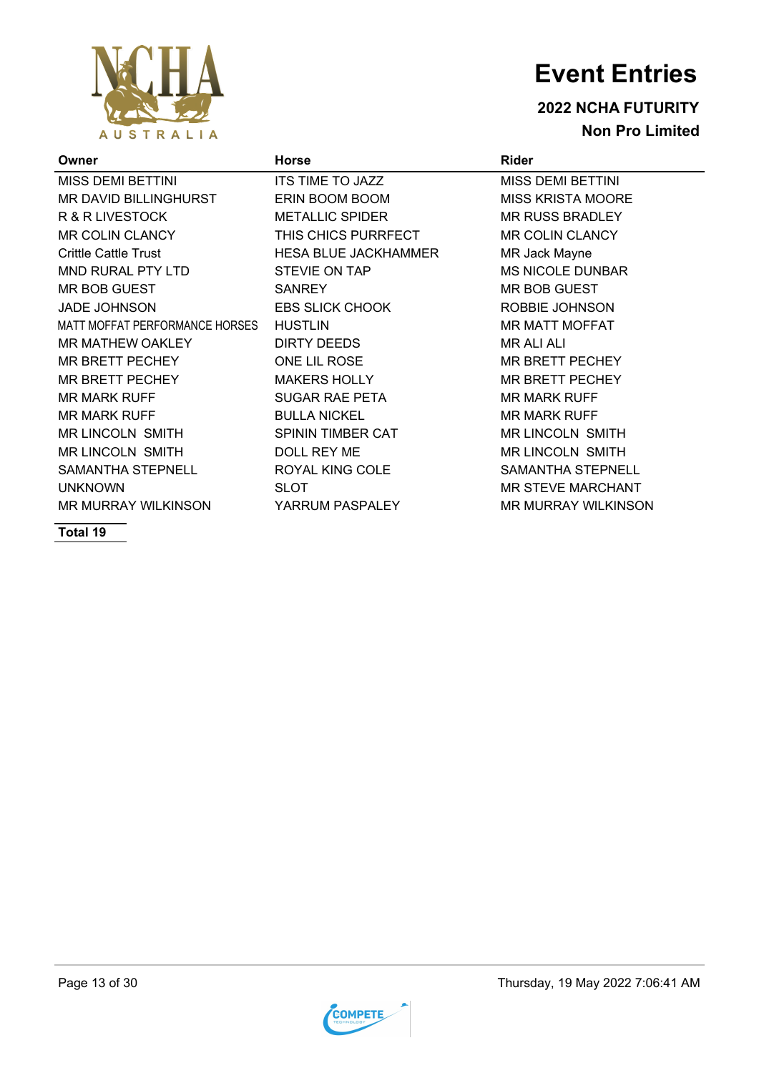

#### **2022 NCHA FUTURITY Non Pro Limited**

| Owner                          | <b>Horse</b>                | <b>Rider</b>               |
|--------------------------------|-----------------------------|----------------------------|
| MISS DEMI BETTINI              | ITS TIME TO JAZZ            | <b>MISS DEMI BETTINI</b>   |
| MR DAVID BILLINGHURST          | ERIN BOOM BOOM              | <b>MISS KRISTA MOORE</b>   |
| R & R LIVESTOCK                | <b>METALLIC SPIDER</b>      | <b>MR RUSS BRADLEY</b>     |
| MR COLIN CLANCY                | THIS CHICS PURRFECT         | <b>MR COLIN CLANCY</b>     |
| <b>Crittle Cattle Trust</b>    | <b>HESA BLUE JACKHAMMER</b> | MR Jack Mayne              |
| MND RURAL PTY LTD              | STEVIE ON TAP               | <b>MS NICOLE DUNBAR</b>    |
| MR BOB GUEST                   | <b>SANREY</b>               | MR BOB GUEST               |
| <b>JADE JOHNSON</b>            | <b>EBS SLICK CHOOK</b>      | ROBBIE JOHNSON             |
| MATT MOFFAT PERFORMANCE HORSES | <b>HUSTLIN</b>              | <b>MR MATT MOFFAT</b>      |
| <b>MR MATHEW OAKLEY</b>        | DIRTY DEEDS                 | <b>MR ALI ALI</b>          |
| MR BRETT PECHEY                | ONE LIL ROSE                | <b>MR BRETT PECHEY</b>     |
| MR BRETT PECHEY                | <b>MAKERS HOLLY</b>         | <b>MR BRETT PECHEY</b>     |
| MR MARK RUFF                   | <b>SUGAR RAE PETA</b>       | <b>MR MARK RUFF</b>        |
| MR MARK RUFF                   | <b>BULLA NICKEL</b>         | <b>MR MARK RUFF</b>        |
| MR LINCOLN SMITH               | SPININ TIMBER CAT           | <b>MR LINCOLN SMITH</b>    |
| <b>MR LINCOLN SMITH</b>        | DOLL REY ME                 | <b>MR LINCOLN SMITH</b>    |
| SAMANTHA STEPNELL              | ROYAL KING COLE             | SAMANTHA STEPNELL          |
| <b>UNKNOWN</b>                 | <b>SLOT</b>                 | <b>MR STEVE MARCHANT</b>   |
| MR MURRAY WILKINSON            | YARRUM PASPALEY             | <b>MR MURRAY WILKINSON</b> |
|                                |                             |                            |

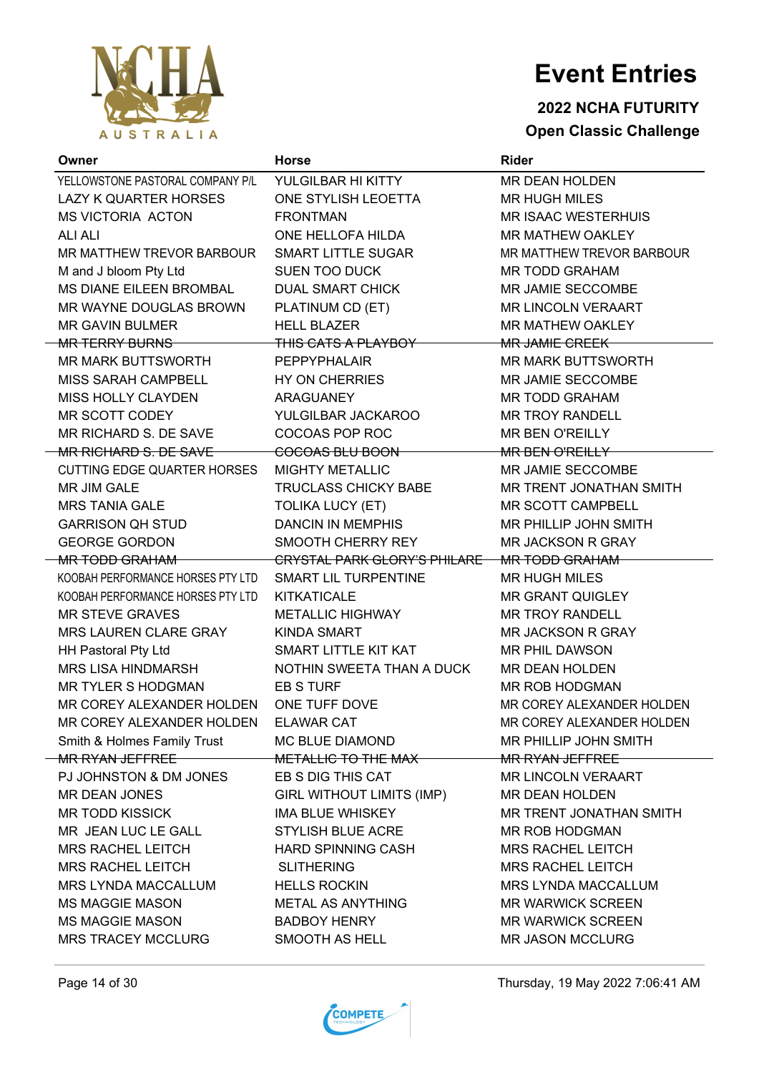

### **2022 NCHA FUTURITY Open Classic Challenge**

| Owner                             | <b>Horse</b>                        | <b>Rider</b>               |
|-----------------------------------|-------------------------------------|----------------------------|
| YELLOWSTONE PASTORAL COMPANY P/L  | YULGILBAR HI KITTY                  | MR DEAN HOLDEN             |
| LAZY K QUARTER HORSES             | ONE STYLISH LEOETTA                 | <b>MR HUGH MILES</b>       |
| <b>MS VICTORIA ACTON</b>          | <b>FRONTMAN</b>                     | <b>MR ISAAC WESTERHUIS</b> |
| <b>ALI ALI</b>                    | ONE HELLOFA HILDA                   | <b>MR MATHEW OAKLEY</b>    |
| MR MATTHEW TREVOR BARBOUR         | <b>SMART LITTLE SUGAR</b>           | MR MATTHEW TREVOR BARBOUR  |
| M and J bloom Pty Ltd             | <b>SUEN TOO DUCK</b>                | <b>MR TODD GRAHAM</b>      |
| MS DIANE EILEEN BROMBAL           | <b>DUAL SMART CHICK</b>             | MR JAMIE SECCOMBE          |
| MR WAYNE DOUGLAS BROWN            | PLATINUM CD (ET)                    | <b>MR LINCOLN VERAART</b>  |
| <b>MR GAVIN BULMER</b>            | <b>HELL BLAZER</b>                  | MR MATHEW OAKLEY           |
| <b>MR TERRY BURNS</b>             | <del>THIS CATS A PLAYBOY -</del>    | <del>MR JAMIE CREEK</del>  |
| MR MARK BUTTSWORTH                | <b>PEPPYPHALAIR</b>                 | <b>MR MARK BUTTSWORTH</b>  |
| MISS SARAH CAMPBELL               | HY ON CHERRIES                      | MR JAMIE SECCOMBE          |
| MISS HOLLY CLAYDEN                | ARAGUANEY                           | <b>MR TODD GRAHAM</b>      |
| MR SCOTT CODEY                    | YULGILBAR JACKAROO                  | <b>MR TROY RANDELL</b>     |
| MR RICHARD S. DE SAVE             | COCOAS POP ROC                      | <b>MR BEN O'REILLY</b>     |
| MR RICHARD S. DE SAVE             | <del>COCOAS BLU BOON -</del>        | <del>MR BEN O'REILLY</del> |
| CUTTING EDGE QUARTER HORSES       | <b>MIGHTY METALLIC</b>              | <b>MR JAMIE SECCOMBE</b>   |
| MR JIM GALE                       | <b>TRUCLASS CHICKY BABE</b>         | MR TRENT JONATHAN SMITH    |
| <b>MRS TANIA GALE</b>             | <b>TOLIKA LUCY (ET)</b>             | MR SCOTT CAMPBELL          |
| <b>GARRISON QH STUD</b>           | <b>DANCIN IN MEMPHIS</b>            | MR PHILLIP JOHN SMITH      |
| <b>GEORGE GORDON</b>              | SMOOTH CHERRY REY                   | <b>MR JACKSON R GRAY</b>   |
| <del>MR TODD GRAHAM</del>         | <b>CRYSTAL PARK GLORY'S PHILARE</b> | <del>MR TODD GRAHAM</del>  |
| KOOBAH PERFORMANCE HORSES PTY LTD | SMART LIL TURPENTINE                | <b>MR HUGH MILES</b>       |
| KOOBAH PERFORMANCE HORSES PTY LTD | KITKATICALE                         | <b>MR GRANT QUIGLEY</b>    |
| <b>MR STEVE GRAVES</b>            | <b>METALLIC HIGHWAY</b>             | <b>MR TROY RANDELL</b>     |
| MRS LAUREN CLARE GRAY             | <b>KINDA SMART</b>                  | <b>MR JACKSON R GRAY</b>   |
| HH Pastoral Pty Ltd               | SMART LITTLE KIT KAT                | <b>MR PHIL DAWSON</b>      |
| MRS LISA HINDMARSH                | NOTHIN SWEETA THAN A DUCK           | <b>MR DEAN HOLDEN</b>      |
| <b>MR TYLER S HODGMAN</b>         | EB S TURF                           | MR ROB HODGMAN             |
| MR COREY ALEXANDER HOLDEN         | ONE TUFF DOVE                       | MR COREY ALEXANDER HOLDEN  |
| MR CORFY AI FXANDER HOI DEN       | ELAWAR CAT                          | MR COREY ALEXANDER HOLDEN  |
| Smith & Holmes Family Trust       | <b>MC BLUE DIAMOND</b>              | MR PHILLIP JOHN SMITH      |
| MR RYAN JEFFREE                   | METALLIC TO THE MAX                 | <b>MR RYAN JEFFREE</b>     |
| PJ JOHNSTON & DM JONES            | EB S DIG THIS CAT                   | <b>MR LINCOLN VERAART</b>  |
| <b>MR DEAN JONES</b>              | <b>GIRL WITHOUT LIMITS (IMP)</b>    | <b>MR DEAN HOLDEN</b>      |
| <b>MR TODD KISSICK</b>            | <b>IMA BLUE WHISKEY</b>             | MR TRENT JONATHAN SMITH    |
| MR JEAN LUC LE GALL               | <b>STYLISH BLUE ACRE</b>            | MR ROB HODGMAN             |
| <b>MRS RACHEL LEITCH</b>          | <b>HARD SPINNING CASH</b>           | <b>MRS RACHEL LEITCH</b>   |
| <b>MRS RACHEL LEITCH</b>          | <b>SLITHERING</b>                   | <b>MRS RACHEL LEITCH</b>   |
| <b>MRS LYNDA MACCALLUM</b>        | <b>HELLS ROCKIN</b>                 | <b>MRS LYNDA MACCALLUM</b> |
| <b>MS MAGGIE MASON</b>            | METAL AS ANYTHING                   | <b>MR WARWICK SCREEN</b>   |
| <b>MS MAGGIE MASON</b>            | <b>BADBOY HENRY</b>                 | <b>MR WARWICK SCREEN</b>   |
| <b>MRS TRACEY MCCLURG</b>         | SMOOTH AS HELL                      | <b>MR JASON MCCLURG</b>    |



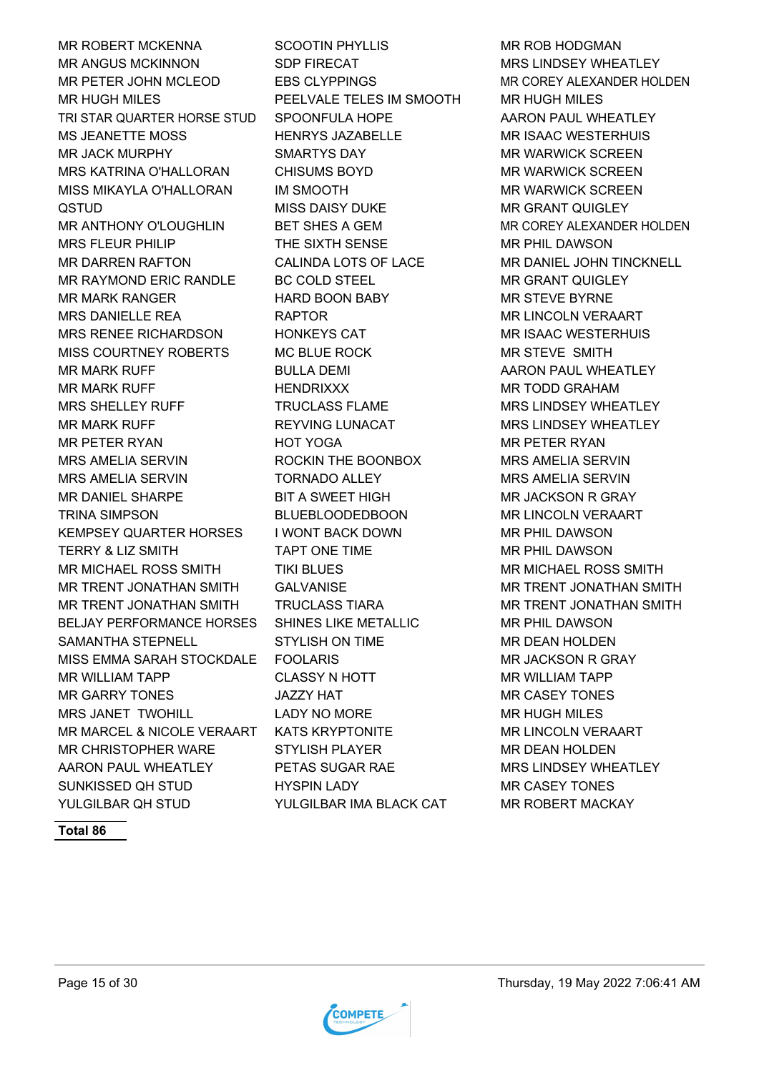MR ROBERT MCKENNA SCOOTIN PHYLLIS MR ROB HODGMAN MR ANGUS MCKINNON SDP FIRECAT THE MRS LINDSEY WHEATLEY MR PETER JOHN MCLEOD EBS CLYPPINGS MR COREY ALEXANDER HOLDEN MR HUGH MILES PEELVALE TELES IM SMOOTH MR HUGH MILES TRI STAR QUARTER HORSE STUD SPOONFULA HOPE AARON PAUL WHEATLEY MS JEANETTE MOSS HENRYS JAZABELLE MR ISAAC WESTERHUIS MR JACK MURPHY SMARTYS DAY MR WARWICK SCREEN MRS KATRINA O'HALLORAN CHISUMS BOYD MR WARWICK SCREEN MISS MIKAYLA O'HALLORAN IM SMOOTH **IM SMOOTH** MR WARWICK SCREEN QSTUD MISS DAISY DUKE MR GRANT QUIGLEY MR ANTHONY O'LOUGHLIN BET SHES A GEM MR COREY ALEXANDER HOLDEN MRS FLEUR PHILIP THE SIXTH SENSE MR PHIL DAWSON MR DARREN RAFTON CALINDA LOTS OF LACE MR DANIEL JOHN TINCKNELL MR RAYMOND ERIC RANDLE BC COLD STEEL MR GRANT QUIGLEY MR MARK RANGER HARD BOON BABY MR STEVE BYRNE MRS DANIELLE REA RAPTOR MR LINCOLN VERAART MRS RENEE RICHARDSON HONKEYS CAT MRISAAC WESTERHUIS MISS COURTNEY ROBERTS MC BLUE ROCK THE MAN STEVE SMITH MR MARK RUFF **BULLA DEMI** BULLA DEMI AARON PAUL WHEATLEY MR MARK RUFF **HENDRIXXX** MR TODD GRAHAM MRS SHELLEY RUFF TRUCLASS FLAME MRS LINDSEY WHEATLEY MR MARK RUFF **REYVING LUNACAT MRS LINDSEY WHEATLEY** MR PETER RYAN HOT YOGA MR PETER RYAN MRS AMELIA SERVIN ROCKIN THE BOONBOX MRS AMELIA SERVIN MRS AMELIA SERVIN TORNADO ALLEY MRS AMELIA SERVIN MR DANIEL SHARPE BIT A SWEET HIGH MR JACKSON R GRAY TRINA SIMPSON BLUEBLOODEDBOON MR LINCOLN VERAART KEMPSEY QUARTER HORSES I WONT BACK DOWN THE MALL DAWSON TERRY & LIZ SMITH TAPT ONE TIME TIME MR PHIL DAWSON MR MICHAEL ROSS SMITH TIKI BLUES THE MANICHAEL ROSS SMITH MR TRENT JONATHAN SMITH GALVANISE **MR TRENT JONATHAN SMITH** MR TRENT JONATHAN SMITH TRUCLASS TIARA MR TRENT JONATHAN SMITH BELJAY PERFORMANCE HORSES SHINES LIKE METALLIC MR PHIL DAWSON SAMANTHA STEPNELL STYLISH ON TIME GAMANTHA STEPNELL MISS EMMA SARAH STOCKDALE FOOLARIS MR JACKSON R GRAY MR WILLIAM TAPP CLASSY N HOTT MR WILLIAM TAPP MR GARRY TONES JAZZY HAT MR CASEY TONES MRS JANET TWOHILL LADY NO MORE THE MR HUGH MILES MR MARCEL & NICOLE VERAART KATS KRYPTONITE MR LINCOLN VERAART MR CHRISTOPHER WARE STYLISH PLAYER MR DEAN HOLDEN AARON PAUL WHEATLEY PETAS SUGAR RAE MRS LINDSEY WHEATLEY SUNKISSED QH STUD HYSPIN LADY MR CASEY TONES YULGILBAR OH STUD YULGILBAR IMA BLACK CAT MR ROBERT MACKAY



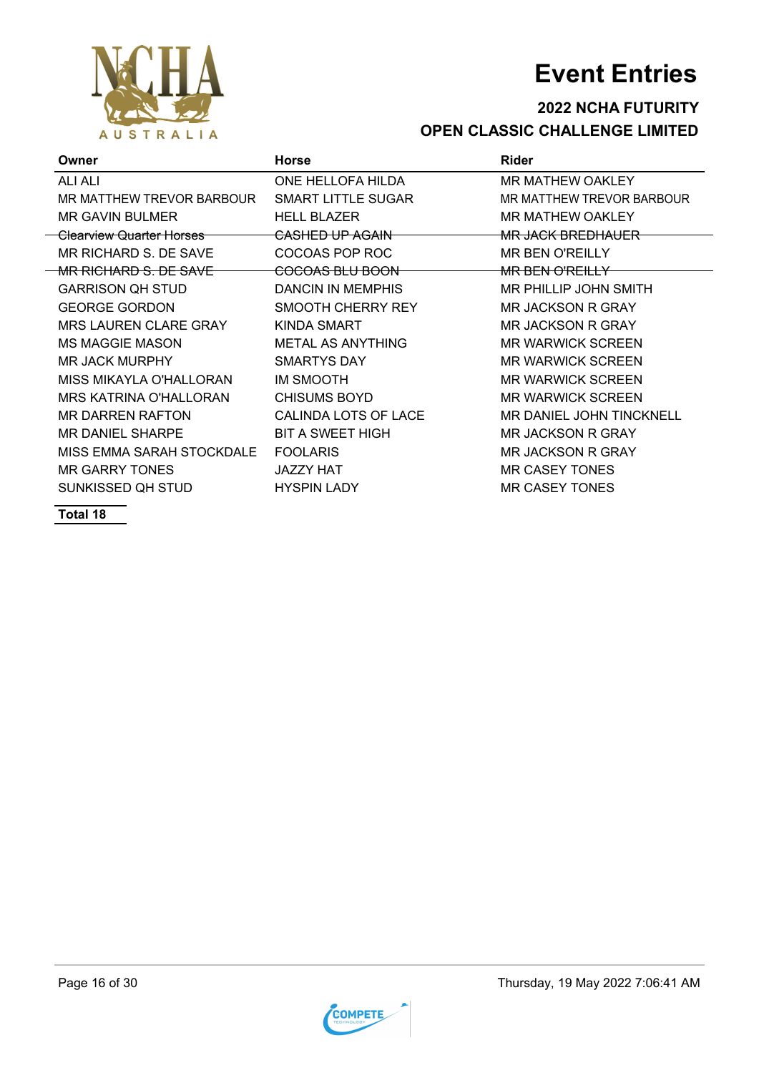

#### **2022 NCHA FUTURITY OPEN CLASSIC CHALLENGE LIMITED**

| Owner                                | <b>Horse</b>               | <b>Rider</b>                    |
|--------------------------------------|----------------------------|---------------------------------|
| <b>ALI ALI</b>                       | ONE HELLOFA HILDA          | <b>MR MATHEW OAKLEY</b>         |
| MR MATTHEW TREVOR BARBOUR            | <b>SMART LITTLE SUGAR</b>  | MR MATTHEW TREVOR BARBOUR       |
| <b>MR GAVIN BULMER</b>               | <b>HELL BLAZER</b>         | <b>MR MATHEW OAKLEY</b>         |
| <del>Clearview Quarter Horses_</del> | <del>CASHED UP AGAIN</del> | <del>MR JACK BREDHAUER-</del>   |
| MR RICHARD S. DE SAVE                | COCOAS POP ROC             | <b>MR BEN O'REILLY</b>          |
| <del>MR RICHARD S. DE SAVE</del>     | <del>COCOAS BLU BOON</del> | <del>MR BEN O'REILLY</del>      |
| <b>GARRISON QH STUD</b>              | <b>DANCIN IN MEMPHIS</b>   | <b>MR PHILLIP JOHN SMITH</b>    |
| <b>GEORGE GORDON</b>                 | SMOOTH CHERRY REY          | <b>MR JACKSON R GRAY</b>        |
| <b>MRS LAUREN CLARE GRAY</b>         | <b>KINDA SMART</b>         | <b>MR JACKSON R GRAY</b>        |
| <b>MS MAGGIE MASON</b>               | <b>METAL AS ANYTHING</b>   | <b>MR WARWICK SCREEN</b>        |
| <b>MR JACK MURPHY</b>                | <b>SMARTYS DAY</b>         | <b>MR WARWICK SCREEN</b>        |
| MISS MIKAYLA O'HALLORAN              | <b>IM SMOOTH</b>           | <b>MR WARWICK SCREEN</b>        |
| <b>MRS KATRINA O'HALLORAN</b>        | <b>CHISUMS BOYD</b>        | <b>MR WARWICK SCREEN</b>        |
| <b>MR DARREN RAFTON</b>              | CALINDA LOTS OF LACE       | <b>MR DANIEL JOHN TINCKNELL</b> |
| <b>MR DANIEL SHARPE</b>              | <b>BIT A SWEET HIGH</b>    | <b>MR JACKSON R GRAY</b>        |
| MISS EMMA SARAH STOCKDALE            | <b>FOOLARIS</b>            | <b>MR JACKSON R GRAY</b>        |
| <b>MR GARRY TONES</b>                | <b>JAZZY HAT</b>           | <b>MR CASEY TONES</b>           |
| SUNKISSED OH STUD                    | <b>HYSPIN LADY</b>         | MR CASEY TONES                  |

**Total 18**

 $\Delta$ 

AUSTRALIA

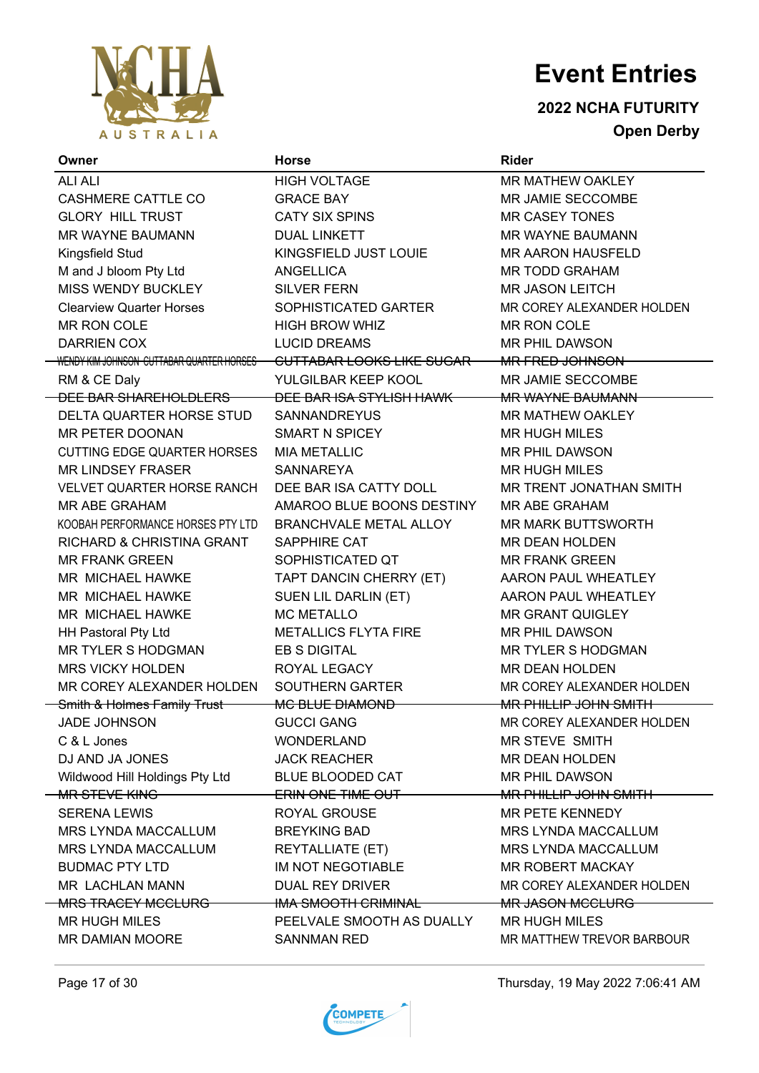

**2022 NCHA FUTURITY Open Derby**

| Owner                                     | <b>Horse</b>                          | <b>Rider</b>                 |
|-------------------------------------------|---------------------------------------|------------------------------|
| <b>ALI ALI</b>                            | <b>HIGH VOLTAGE</b>                   | MR MATHEW OAKLEY             |
| <b>CASHMERE CATTLE CO</b>                 | <b>GRACE BAY</b>                      | MR JAMIE SECCOMBE            |
| <b>GLORY HILL TRUST</b>                   | <b>CATY SIX SPINS</b>                 | <b>MR CASEY TONES</b>        |
| <b>MR WAYNE BAUMANN</b>                   | <b>DUAL LINKETT</b>                   | <b>MR WAYNE BAUMANN</b>      |
| Kingsfield Stud                           | KINGSFIELD JUST LOUIE                 | <b>MR AARON HAUSFELD</b>     |
| M and J bloom Pty Ltd                     | <b>ANGELLICA</b>                      | <b>MR TODD GRAHAM</b>        |
| MISS WENDY BUCKLEY                        | <b>SILVER FERN</b>                    | <b>MR JASON LEITCH</b>       |
| <b>Clearview Quarter Horses</b>           | SOPHISTICATED GARTER                  | MR COREY ALEXANDER HOLDEN    |
| MR RON COLE                               | <b>HIGH BROW WHIZ</b>                 | MR RON COLE                  |
| <b>DARRIEN COX</b>                        | <b>LUCID DREAMS</b>                   | MR PHIL DAWSON               |
| WENDY KIM JOHNSON CUTTABAR QUARTER HORSES | <del>CUTTABAR LOOKS LIKE SUGAR-</del> | <del>MR FRED JOHNSON -</del> |
| RM & CE Daly                              | YULGILBAR KEEP KOOL                   | MR JAMIE SECCOMBE            |
| <del>DEE BAR SHAREHOLDLERS –</del>        | <del>DEE BAR ISA STYLISH HAWK -</del> | <b>MR WAYNE BAUMANN</b>      |
| DELTA QUARTER HORSE STUD                  | <b>SANNANDREYUS</b>                   | <b>MR MATHEW OAKLEY</b>      |
| MR PETER DOONAN                           | <b>SMART N SPICEY</b>                 | <b>MR HUGH MILES</b>         |
| <b>CUTTING EDGE QUARTER HORSES</b>        | <b>MIA METALLIC</b>                   | <b>MR PHIL DAWSON</b>        |
| <b>MR LINDSEY FRASER</b>                  | <b>SANNAREYA</b>                      | <b>MR HUGH MILES</b>         |
| <b>VELVET QUARTER HORSE RANCH</b>         | DEE BAR ISA CATTY DOLL                | MR TRENT JONATHAN SMITH      |
| MR ABE GRAHAM                             | AMAROO BLUE BOONS DESTINY             | <b>MR ABE GRAHAM</b>         |
| KOOBAH PERFORMANCE HORSES PTY LTD         | BRANCHVALE METAL ALLOY                | <b>MR MARK BUTTSWORTH</b>    |
| RICHARD & CHRISTINA GRANT                 | SAPPHIRE CAT                          | MR DEAN HOLDEN               |
| <b>MR FRANK GREEN</b>                     | SOPHISTICATED QT                      | <b>MR FRANK GREEN</b>        |
| MR MICHAEL HAWKE                          | TAPT DANCIN CHERRY (ET)               | AARON PAUL WHEATLEY          |
| MR MICHAEL HAWKE                          | SUEN LIL DARLIN (ET)                  | AARON PAUL WHEATLEY          |
| MR MICHAEL HAWKE                          | <b>MC METALLO</b>                     | <b>MR GRANT QUIGLEY</b>      |
| <b>HH Pastoral Pty Ltd</b>                | <b>METALLICS FLYTA FIRE</b>           | <b>MR PHIL DAWSON</b>        |
| <b>MR TYLER S HODGMAN</b>                 | <b>EB S DIGITAL</b>                   | <b>MR TYLER S HODGMAN</b>    |
| <b>MRS VICKY HOLDEN</b>                   | ROYAL LEGACY                          | MR DEAN HOLDEN               |
| MR COREY ALEXANDER HOLDEN                 | SOUTHERN GARTER                       | MR COREY ALEXANDER HOLDEN    |
| Smith & Holmes Family Trust               | MC BLUE DIAMOND                       | <b>MR PHILLIP JOHN SMITH</b> |
| JADE JOHNSON                              | <b>GUCCI GANG</b>                     | MR COREY ALEXANDER HOLDEN    |
| C & L Jones                               | <b>WONDERLAND</b>                     | <b>MR STEVE SMITH</b>        |
| DJ AND JA JONES                           | <b>JACK REACHER</b>                   | <b>MR DEAN HOLDEN</b>        |
| Wildwood Hill Holdings Pty Ltd            | <b>BLUE BLOODED CAT</b>               | <b>MR PHIL DAWSON</b>        |
| MR STEVE KING                             | <b>ERIN ONE TIME OUT</b>              | <b>MR PHILLIP JOHN SMITH</b> |
| <b>SERENA LEWIS</b>                       | ROYAL GROUSE                          | MR PETE KENNEDY              |
| MRS LYNDA MACCALLUM                       | <b>BREYKING BAD</b>                   | MRS LYNDA MACCALLUM          |
| MRS LYNDA MACCALLUM                       | <b>REYTALLIATE (ET)</b>               | MRS LYNDA MACCALLUM          |
| <b>BUDMAC PTY LTD</b>                     | IM NOT NEGOTIABLE                     | MR ROBERT MACKAY             |
| MR LACHLAN MANN                           | DUAL REY DRIVER                       | MR COREY ALEXANDER HOLDEN    |
| MRS TRACEY MCCLURG                        | IMA SMOOTH CRIMINAL                   | <b>MR JASON MCCLURG</b>      |
| <b>MR HUGH MILES</b>                      | PEELVALE SMOOTH AS DUALLY             | <b>MR HUGH MILES</b>         |
| MR DAMIAN MOORE                           | <b>SANNMAN RED</b>                    | MR MATTHEW TREVOR BARBOUR    |



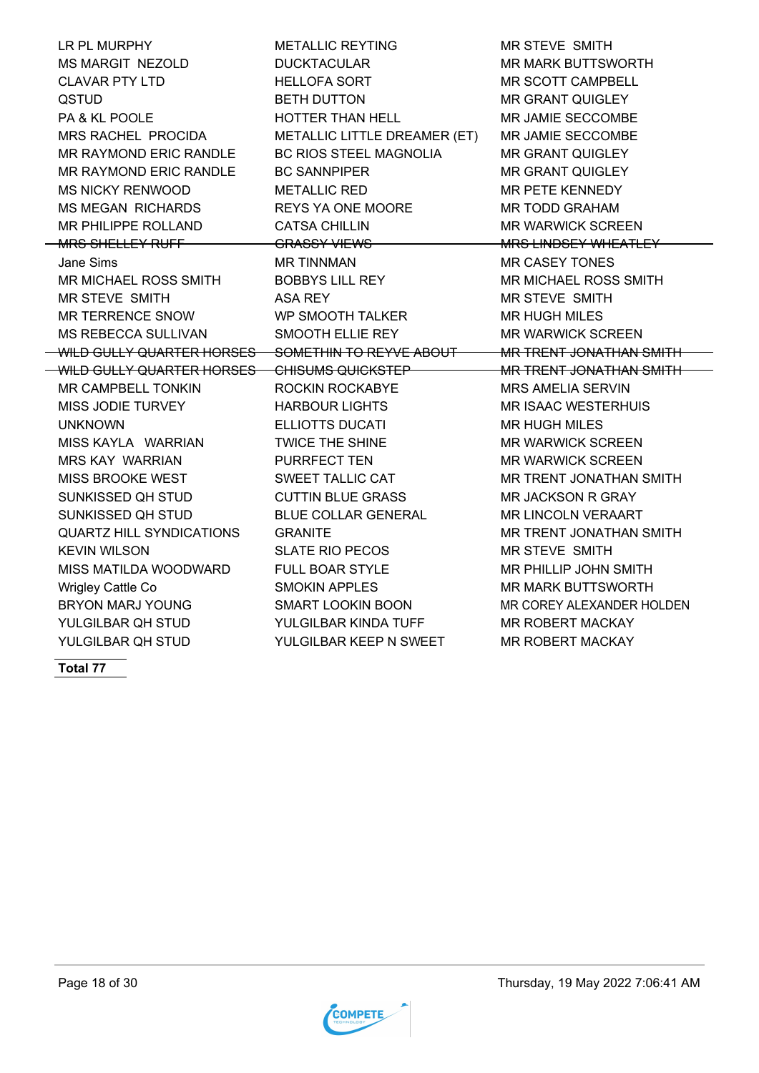LR PL MURPHY METALLIC REYTING MR STEVE SMITH MS MARGIT NEZOLD DUCKTACULAR MR MARK BUTTSWORTH CLAVAR PTY LTD HELLOFA SORT MR SCOTT CAMPBELL QSTUD BETH DUTTON MR GRANT QUIGLEY PA & KL POOLE FOOLE HOTTER THAN HELL THAN HELL MR JAMIE SECCOMBE MRS RACHEL PROCIDA METALLIC LITTLE DREAMER (ET) MR JAMIE SECCOMBE MR RAYMOND ERIC RANDLE BC RIOS STEEL MAGNOLIA MR GRANT QUIGLEY MR RAYMOND ERIC RANDLE BC SANNPIPER MR GRANT QUIGLEY MS NICKY RENWOOD METALLIC RED MR PETE KENNEDY MS MEGAN RICHARDS REYS YA ONE MOORE MR TODD GRAHAM MR PHILIPPE ROLLAND CATSA CHILLIN MR WARWICK SCREEN MRS SHELLEY RUFF GRASSY VIEWS MEMORY MRS LINDSEY WHEATLEY Jane Sims MR TINNMAN MR CASEY TONES MR MICHAEL ROSS SMITH BOBBYS LILL REY THE MR MICHAEL ROSS SMITH MR STEVE SMITH ASA REY MR STEVE SMITH MR TERRENCE SNOW WP SMOOTH TALKER MR HUGH MILES MS REBECCA SULLIVAN SMOOTH ELLIE REY MR WARWICK SCREEN WILD GULLY QUARTER HORSES SOMETHIN TO REYVE ABOUT MR TRENT JONATHAN SMITH WILD GULLY QUARTER HORSES CHISUMS QUICKSTEP MR TRENT JONATHAN SMITH MR CAMPBELL TONKIN ROCKIN ROCKABYE MRS AMELIA SERVIN MISS JODIE TURVEY HARBOUR LIGHTS MR ISAAC WESTERHUIS UNKNOWN **ELLIOTTS DUCATI** MR HUGH MILES MISS KAYLA WARRIAN TWICE THE SHINE MR WARWICK SCREEN MRS KAY WARRIAN PURRFECT TEN MR WARWICK SCREEN MISS BROOKE WEST **SWEET TALLIC CAT TALLIC CAT** MR TRENT JONATHAN SMITH SUNKISSED QH STUD CUTTIN BLUE GRASS MR JACKSON R GRAY SUNKISSED QH STUD BLUE COLLAR GENERAL MR LINCOLN VERAART QUARTZ HILL SYNDICATIONS GRANITE THE MANUSCRIPT ON A MANUSCRIPT ON A MITH KEVIN WILSON SLATE RIO PECOS MR STEVE SMITH MISS MATILDA WOODWARD FULL BOAR STYLE MR PHILLIP JOHN SMITH Wrigley Cattle Co **SMOKIN APPLES** MR MARK BUTTSWORTH BRYON MARJ YOUNG SMART LOOKIN BOON MR COREY ALEXANDER HOLDEN YULGILBAR OH STUD YULGILBAR KINDA TUFF MAR ROBERT MACKAY YULGILBAR QH STUD YULGILBAR KEEP N SWEET MAR ROBERT MACKAY

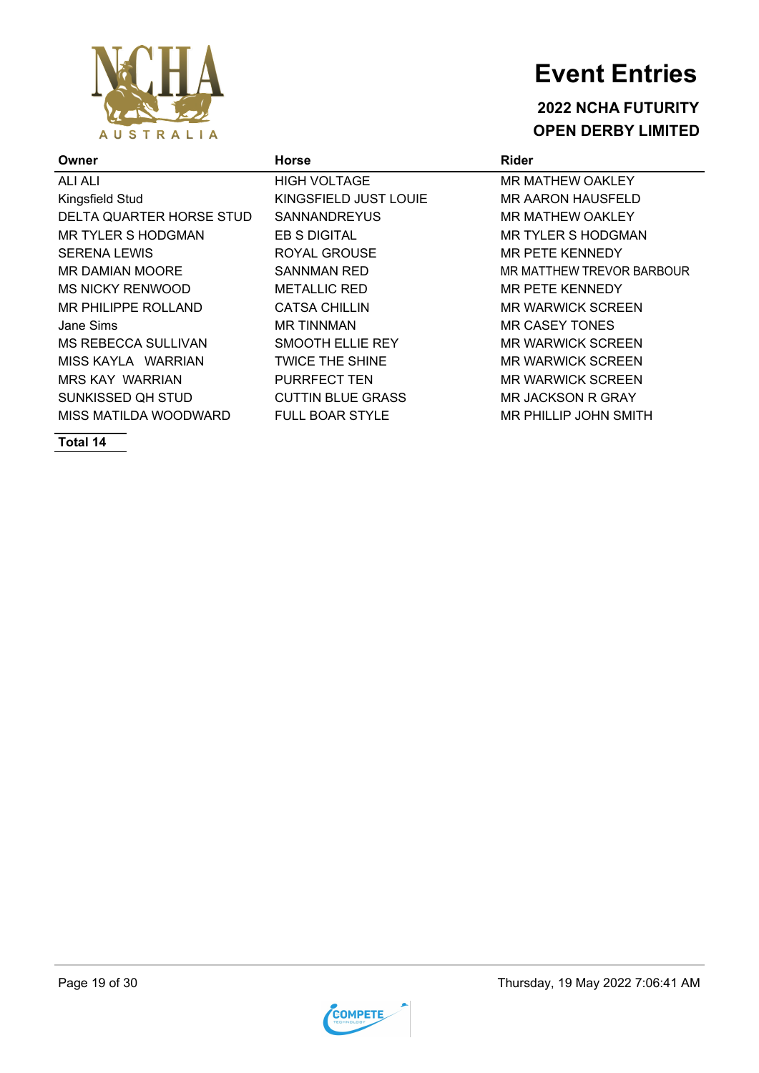

#### **2022 NCHA FUTURITY OPEN DERBY LIMITED**

| <b>Horse</b>             | <b>Rider</b>                 |
|--------------------------|------------------------------|
| <b>HIGH VOLTAGE</b>      | <b>MR MATHEW OAKLEY</b>      |
| KINGSFIELD JUST LOUIE    | <b>MR AARON HAUSFELD</b>     |
| <b>SANNANDREYUS</b>      | <b>MR MATHEW OAKLEY</b>      |
| <b>EB S DIGITAL</b>      | <b>MR TYLER S HODGMAN</b>    |
| ROYAL GROUSE             | MR PETE KENNEDY              |
| <b>SANNMAN RED</b>       | MR MATTHEW TREVOR BARBOUR    |
| <b>METALLIC RED</b>      | <b>MR PETE KENNEDY</b>       |
| <b>CATSA CHILLIN</b>     | <b>MR WARWICK SCREEN</b>     |
| <b>MR TINNMAN</b>        | <b>MR CASEY TONES</b>        |
| SMOOTH ELLIE REY         | <b>MR WARWICK SCREEN</b>     |
| <b>TWICE THE SHINE</b>   | <b>MR WARWICK SCREEN</b>     |
| <b>PURRFECT TEN</b>      | <b>MR WARWICK SCREEN</b>     |
| <b>CUTTIN BLUE GRASS</b> | MR JACKSON R GRAY            |
| <b>FULL BOAR STYLE</b>   | <b>MR PHILLIP JOHN SMITH</b> |
|                          |                              |

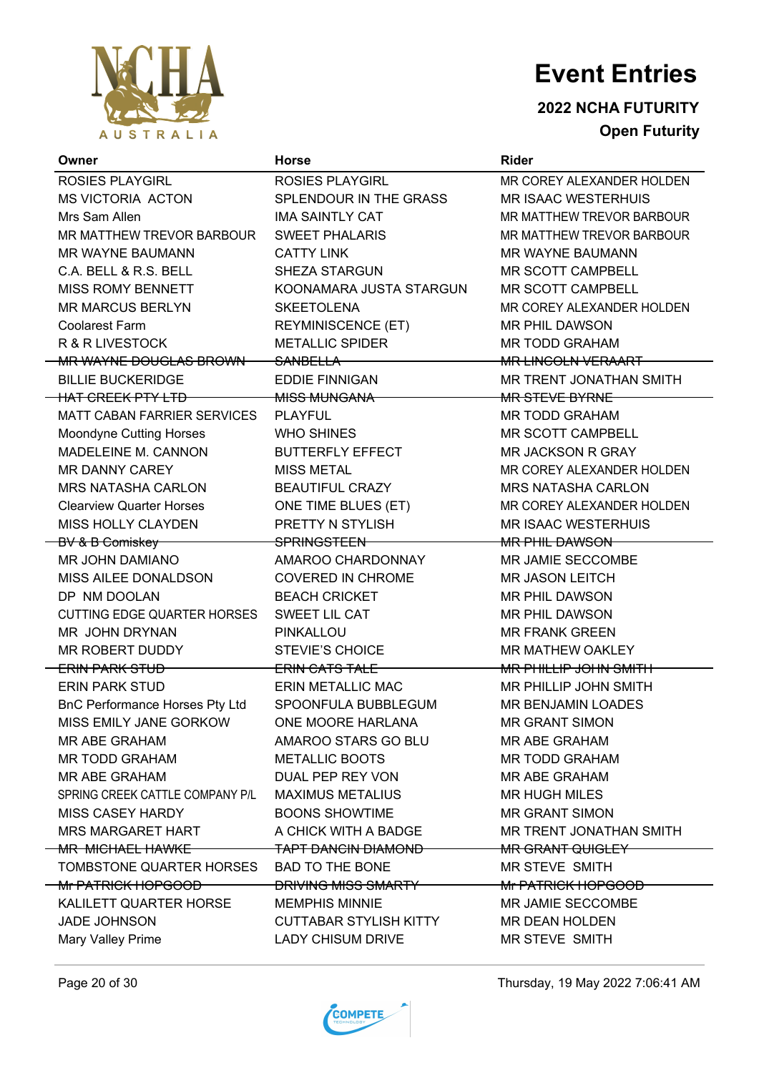

**2022 NCHA FUTURITY Open Futurity**

| Owner                                 | <b>Horse</b>                  | <b>Rider</b>                   |
|---------------------------------------|-------------------------------|--------------------------------|
| <b>ROSIES PLAYGIRL</b>                | <b>ROSIES PLAYGIRL</b>        | MR COREY ALEXANDER HOLDEN      |
| <b>MS VICTORIA ACTON</b>              | SPLENDOUR IN THE GRASS        | <b>MR ISAAC WESTERHUIS</b>     |
| Mrs Sam Allen                         | <b>IMA SAINTLY CAT</b>        | MR MATTHEW TREVOR BARBOUR      |
| MR MATTHEW TREVOR BARBOUR             | <b>SWEET PHALARIS</b>         | MR MATTHEW TREVOR BARBOUR      |
| MR WAYNE BAUMANN                      | <b>CATTY LINK</b>             | <b>MR WAYNE BAUMANN</b>        |
| C.A. BELL & R.S. BELL                 | <b>SHEZA STARGUN</b>          | MR SCOTT CAMPBELL              |
| <b>MISS ROMY BENNETT</b>              | KOONAMARA JUSTA STARGUN       | MR SCOTT CAMPBELL              |
| <b>MR MARCUS BERLYN</b>               | <b>SKEETOLENA</b>             | MR COREY ALEXANDER HOLDEN      |
| <b>Coolarest Farm</b>                 | <b>REYMINISCENCE (ET)</b>     | <b>MR PHIL DAWSON</b>          |
| R & R LIVESTOCK                       | <b>METALLIC SPIDER</b>        | <b>MR TODD GRAHAM</b>          |
| MR WAYNE DOUGLAS BROWN                | <del>SANBELLA</del>           | <b>MR LINCOLN VERAART</b>      |
| <b>BILLIE BUCKERIDGE</b>              | <b>EDDIE FINNIGAN</b>         | MR TRENT JONATHAN SMITH        |
| <b>HAT CREEK PTY LTD</b>              | <b>MISS MUNGANA</b>           | MR STEVE BYRNE                 |
| <b>MATT CABAN FARRIER SERVICES</b>    | <b>PLAYFUL</b>                | <b>MR TODD GRAHAM</b>          |
| <b>Moondyne Cutting Horses</b>        | <b>WHO SHINES</b>             | <b>MR SCOTT CAMPBELL</b>       |
| MADELEINE M. CANNON                   | <b>BUTTERFLY EFFECT</b>       | MR JACKSON R GRAY              |
| MR DANNY CAREY                        | <b>MISS METAL</b>             | MR COREY ALEXANDER HOLDEN      |
| <b>MRS NATASHA CARLON</b>             | <b>BEAUTIFUL CRAZY</b>        | <b>MRS NATASHA CARLON</b>      |
| <b>Clearview Quarter Horses</b>       | ONE TIME BLUES (ET)           | MR COREY ALEXANDER HOLDEN      |
| MISS HOLLY CLAYDEN                    | PRETTY N STYLISH              | <b>MR ISAAC WESTERHUIS</b>     |
| BV & B Comiskey                       | SPRINGSTEEN                   | <b>MR PHIL DAWSON</b>          |
| MR JOHN DAMIANO                       | AMAROO CHARDONNAY             | MR JAMIE SECCOMBE              |
| MISS AILEE DONALDSON                  | <b>COVERED IN CHROME</b>      | <b>MR JASON LEITCH</b>         |
| DP NM DOOLAN                          | <b>BEACH CRICKET</b>          | <b>MR PHIL DAWSON</b>          |
| <b>CUTTING EDGE QUARTER HORSES</b>    | SWEET LIL CAT                 | <b>MR PHIL DAWSON</b>          |
| MR JOHN DRYNAN                        | PINKALLOU                     | <b>MR FRANK GREEN</b>          |
| MR ROBERT DUDDY                       | <b>STEVIE'S CHOICE</b>        | MR MATHEW OAKLEY               |
| <del>ERIN PARK STUD</del>             | <b>ERIN CATS TALE</b>         | <b>MR PHILLIP JOHN SMITH</b>   |
| <b>ERIN PARK STUD</b>                 | <b>ERIN METALLIC MAC</b>      | MR PHILLIP JOHN SMITH          |
| <b>BnC Performance Horses Pty Ltd</b> | SPOONFULA BUBBLEGUM           | <b>MR BENJAMIN LOADES</b>      |
| MISS EMILY JANE GORKOW                | ONE MOORE HARLANA             | <b>MR GRANT SIMON</b>          |
| <b>MR ABE GRAHAM</b>                  | AMAROO STARS GO BLU           | <b>MR ABE GRAHAM</b>           |
| MR TODD GRAHAM                        | <b>METALLIC BOOTS</b>         | <b>MR TODD GRAHAM</b>          |
| <b>MR ABE GRAHAM</b>                  | DUAL PEP REY VON              | MR ABE GRAHAM                  |
| SPRING CREEK CATTLE COMPANY P/L       | <b>MAXIMUS METALIUS</b>       | <b>MR HUGH MILES</b>           |
| MISS CASEY HARDY                      | <b>BOONS SHOWTIME</b>         | <b>MR GRANT SIMON</b>          |
| MRS MARGARET HART                     | A CHICK WITH A BADGE          | MR TRENT JONATHAN SMITH        |
| <b>MR MICHAEL HAWKE</b>               | <b>TAPT DANCIN DIAMOND</b>    | MR GRANT QUIGLEY               |
| TOMBSTONE QUARTER HORSES              | <b>BAD TO THE BONE</b>        | <b>MR STEVE SMITH</b>          |
| <del>Mr PATRICK HOPGOOD</del>         | <b>DRIVING MISS SMARTY</b>    | <del>Mr PATRICK HOPGOOD-</del> |
| KALILETT QUARTER HORSE                | <b>MEMPHIS MINNIE</b>         | MR JAMIE SECCOMBE              |
| <b>JADE JOHNSON</b>                   | <b>CUTTABAR STYLISH KITTY</b> | MR DEAN HOLDEN                 |
| Mary Valley Prime                     | <b>LADY CHISUM DRIVE</b>      | MR STEVE SMITH                 |



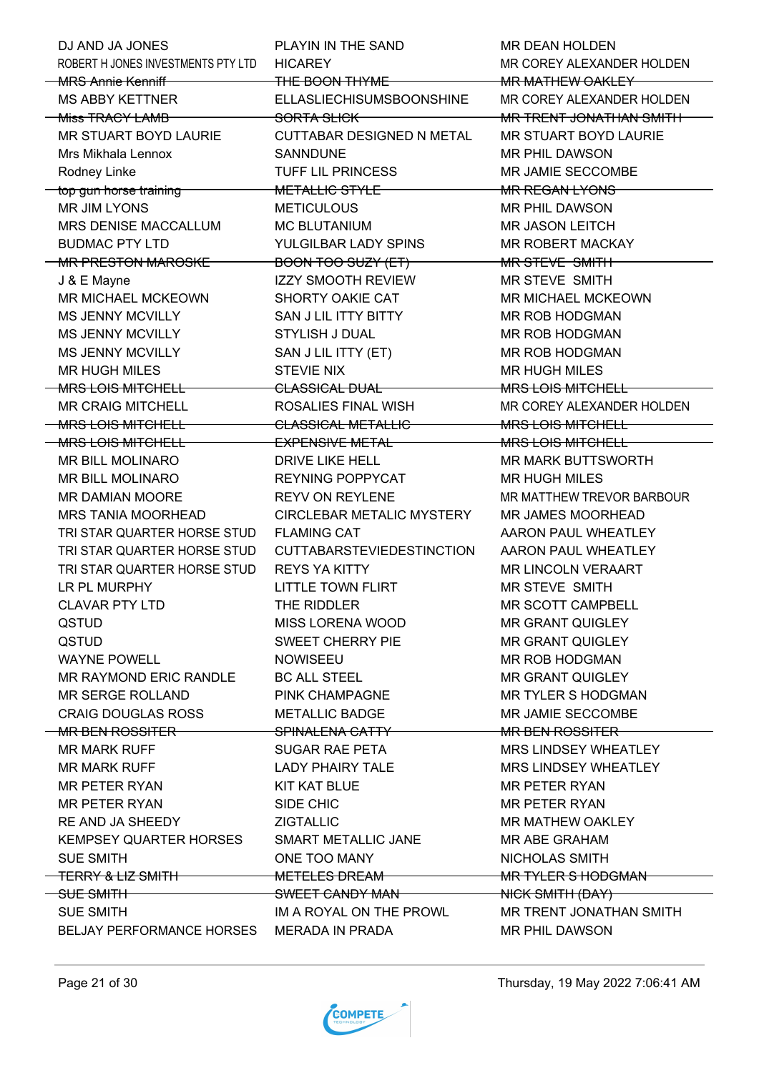| ROBERT H JONES INVESTMENTS PTY LTD<br><b>HICAREY</b><br>MR COREY ALEXANDER HOLDEN<br><del>MRS Annie Kenniff MRS</del><br>THE BOON THYME<br><b>MR MATHEW OAKLEY</b><br>MS ABBY KETTNER<br>ELLASLIECHISUMSBOONSHINE<br>MR COREY ALEXANDER HOLDEN<br><b>-Miss TRACY LAMB</b><br>MR TRENT JONATHAN SMITH<br><del>SORTA SLICK</del><br>MR STUART BOYD LAURIE<br>CUTTABAR DESIGNED N METAL<br>MR STUART BOYD LAURIE<br>Mrs Mikhala Lennox<br><b>SANNDUNE</b><br><b>MR PHIL DAWSON</b><br>Rodney Linke<br>TUFF LIL PRINCESS<br>MR JAMIE SECCOMBE<br>METALLIC STYLE<br><del>top gun horse training</del><br>MR REGAN LYONS<br><b>MR JIM LYONS</b><br><b>METICULOUS</b><br>MR PHIL DAWSON<br>MRS DENISE MACCALLUM<br><b>MC BLUTANIUM</b><br><b>MR JASON LEITCH</b><br><b>BUDMAC PTY LTD</b><br>YULGILBAR LADY SPINS<br>MR ROBERT MACKAY<br>MR PRESTON MAROSKE<br>BOON TOO SUZY (ET)<br><del>MR STEVE SMITH</del><br><b>IZZY SMOOTH REVIEW</b><br>J & E Mayne<br>MR STEVE SMITH<br>MR MICHAEL MCKEOWN<br>SHORTY OAKIE CAT<br>MR MICHAEL MCKEOWN<br><b>MS JENNY MCVILLY</b><br>SAN J LIL ITTY BITTY<br>MR ROB HODGMAN<br>MS JENNY MCVILLY<br>STYLISH J DUAL<br>MR ROB HODGMAN<br><b>MS JENNY MCVILLY</b><br>SAN J LIL ITTY (ET)<br><b>MR ROB HODGMAN</b><br><b>STEVIE NIX</b><br><b>MR HUGH MILES</b><br><b>MR HUGH MILES</b><br><b>-MRS LOIS MITCHELL</b><br>CLASSICAL DUAL<br>MRS LOIS MITCHELL<br><b>MR CRAIG MITCHELL</b><br>ROSALIES FINAL WISH<br>MR COREY ALEXANDER HOLDEN<br><b>-MRS LOIS MITCHELL</b><br><b>CLASSICAL METALLIC</b><br>MRS LOIS MITCHELL<br><b>MRS LOIS MITCHELL</b><br><b>EXPENSIVE METAL</b><br><b>MRS LOIS MITCHELL</b> |
|-----------------------------------------------------------------------------------------------------------------------------------------------------------------------------------------------------------------------------------------------------------------------------------------------------------------------------------------------------------------------------------------------------------------------------------------------------------------------------------------------------------------------------------------------------------------------------------------------------------------------------------------------------------------------------------------------------------------------------------------------------------------------------------------------------------------------------------------------------------------------------------------------------------------------------------------------------------------------------------------------------------------------------------------------------------------------------------------------------------------------------------------------------------------------------------------------------------------------------------------------------------------------------------------------------------------------------------------------------------------------------------------------------------------------------------------------------------------------------------------------------------------------------------------------------------------------------------------------------------------------------------------|
|                                                                                                                                                                                                                                                                                                                                                                                                                                                                                                                                                                                                                                                                                                                                                                                                                                                                                                                                                                                                                                                                                                                                                                                                                                                                                                                                                                                                                                                                                                                                                                                                                                         |
|                                                                                                                                                                                                                                                                                                                                                                                                                                                                                                                                                                                                                                                                                                                                                                                                                                                                                                                                                                                                                                                                                                                                                                                                                                                                                                                                                                                                                                                                                                                                                                                                                                         |
|                                                                                                                                                                                                                                                                                                                                                                                                                                                                                                                                                                                                                                                                                                                                                                                                                                                                                                                                                                                                                                                                                                                                                                                                                                                                                                                                                                                                                                                                                                                                                                                                                                         |
|                                                                                                                                                                                                                                                                                                                                                                                                                                                                                                                                                                                                                                                                                                                                                                                                                                                                                                                                                                                                                                                                                                                                                                                                                                                                                                                                                                                                                                                                                                                                                                                                                                         |
|                                                                                                                                                                                                                                                                                                                                                                                                                                                                                                                                                                                                                                                                                                                                                                                                                                                                                                                                                                                                                                                                                                                                                                                                                                                                                                                                                                                                                                                                                                                                                                                                                                         |
|                                                                                                                                                                                                                                                                                                                                                                                                                                                                                                                                                                                                                                                                                                                                                                                                                                                                                                                                                                                                                                                                                                                                                                                                                                                                                                                                                                                                                                                                                                                                                                                                                                         |
|                                                                                                                                                                                                                                                                                                                                                                                                                                                                                                                                                                                                                                                                                                                                                                                                                                                                                                                                                                                                                                                                                                                                                                                                                                                                                                                                                                                                                                                                                                                                                                                                                                         |
|                                                                                                                                                                                                                                                                                                                                                                                                                                                                                                                                                                                                                                                                                                                                                                                                                                                                                                                                                                                                                                                                                                                                                                                                                                                                                                                                                                                                                                                                                                                                                                                                                                         |
|                                                                                                                                                                                                                                                                                                                                                                                                                                                                                                                                                                                                                                                                                                                                                                                                                                                                                                                                                                                                                                                                                                                                                                                                                                                                                                                                                                                                                                                                                                                                                                                                                                         |
|                                                                                                                                                                                                                                                                                                                                                                                                                                                                                                                                                                                                                                                                                                                                                                                                                                                                                                                                                                                                                                                                                                                                                                                                                                                                                                                                                                                                                                                                                                                                                                                                                                         |
|                                                                                                                                                                                                                                                                                                                                                                                                                                                                                                                                                                                                                                                                                                                                                                                                                                                                                                                                                                                                                                                                                                                                                                                                                                                                                                                                                                                                                                                                                                                                                                                                                                         |
|                                                                                                                                                                                                                                                                                                                                                                                                                                                                                                                                                                                                                                                                                                                                                                                                                                                                                                                                                                                                                                                                                                                                                                                                                                                                                                                                                                                                                                                                                                                                                                                                                                         |
|                                                                                                                                                                                                                                                                                                                                                                                                                                                                                                                                                                                                                                                                                                                                                                                                                                                                                                                                                                                                                                                                                                                                                                                                                                                                                                                                                                                                                                                                                                                                                                                                                                         |
|                                                                                                                                                                                                                                                                                                                                                                                                                                                                                                                                                                                                                                                                                                                                                                                                                                                                                                                                                                                                                                                                                                                                                                                                                                                                                                                                                                                                                                                                                                                                                                                                                                         |
|                                                                                                                                                                                                                                                                                                                                                                                                                                                                                                                                                                                                                                                                                                                                                                                                                                                                                                                                                                                                                                                                                                                                                                                                                                                                                                                                                                                                                                                                                                                                                                                                                                         |
|                                                                                                                                                                                                                                                                                                                                                                                                                                                                                                                                                                                                                                                                                                                                                                                                                                                                                                                                                                                                                                                                                                                                                                                                                                                                                                                                                                                                                                                                                                                                                                                                                                         |
|                                                                                                                                                                                                                                                                                                                                                                                                                                                                                                                                                                                                                                                                                                                                                                                                                                                                                                                                                                                                                                                                                                                                                                                                                                                                                                                                                                                                                                                                                                                                                                                                                                         |
|                                                                                                                                                                                                                                                                                                                                                                                                                                                                                                                                                                                                                                                                                                                                                                                                                                                                                                                                                                                                                                                                                                                                                                                                                                                                                                                                                                                                                                                                                                                                                                                                                                         |
|                                                                                                                                                                                                                                                                                                                                                                                                                                                                                                                                                                                                                                                                                                                                                                                                                                                                                                                                                                                                                                                                                                                                                                                                                                                                                                                                                                                                                                                                                                                                                                                                                                         |
|                                                                                                                                                                                                                                                                                                                                                                                                                                                                                                                                                                                                                                                                                                                                                                                                                                                                                                                                                                                                                                                                                                                                                                                                                                                                                                                                                                                                                                                                                                                                                                                                                                         |
|                                                                                                                                                                                                                                                                                                                                                                                                                                                                                                                                                                                                                                                                                                                                                                                                                                                                                                                                                                                                                                                                                                                                                                                                                                                                                                                                                                                                                                                                                                                                                                                                                                         |
|                                                                                                                                                                                                                                                                                                                                                                                                                                                                                                                                                                                                                                                                                                                                                                                                                                                                                                                                                                                                                                                                                                                                                                                                                                                                                                                                                                                                                                                                                                                                                                                                                                         |
| MR BILL MOLINARO<br>DRIVE LIKE HELL<br>MR MARK BUTTSWORTH                                                                                                                                                                                                                                                                                                                                                                                                                                                                                                                                                                                                                                                                                                                                                                                                                                                                                                                                                                                                                                                                                                                                                                                                                                                                                                                                                                                                                                                                                                                                                                               |
| REYNING POPPYCAT<br>MR BILL MOLINARO<br><b>MR HUGH MILES</b>                                                                                                                                                                                                                                                                                                                                                                                                                                                                                                                                                                                                                                                                                                                                                                                                                                                                                                                                                                                                                                                                                                                                                                                                                                                                                                                                                                                                                                                                                                                                                                            |
| MR DAMIAN MOORE<br><b>REYV ON REYLENE</b><br>MR MATTHEW TREVOR BARBOUR                                                                                                                                                                                                                                                                                                                                                                                                                                                                                                                                                                                                                                                                                                                                                                                                                                                                                                                                                                                                                                                                                                                                                                                                                                                                                                                                                                                                                                                                                                                                                                  |
| MRS TANIA MOORHEAD<br>CIRCLEBAR METALIC MYSTERY<br>MR JAMES MOORHEAD                                                                                                                                                                                                                                                                                                                                                                                                                                                                                                                                                                                                                                                                                                                                                                                                                                                                                                                                                                                                                                                                                                                                                                                                                                                                                                                                                                                                                                                                                                                                                                    |
| TRI STAR QUARTER HORSE STUD<br><b>FLAMING CAT</b><br>AARON PAUL WHEATLEY                                                                                                                                                                                                                                                                                                                                                                                                                                                                                                                                                                                                                                                                                                                                                                                                                                                                                                                                                                                                                                                                                                                                                                                                                                                                                                                                                                                                                                                                                                                                                                |
| TRI STAR QUARTER HORSE STUD<br><b>CUTTABARSTEVIEDESTINCTION</b><br>AARON PAUL WHEATLEY                                                                                                                                                                                                                                                                                                                                                                                                                                                                                                                                                                                                                                                                                                                                                                                                                                                                                                                                                                                                                                                                                                                                                                                                                                                                                                                                                                                                                                                                                                                                                  |
| TRI STAR QUARTER HORSE STUD<br><b>REYS YA KITTY</b><br><b>MR LINCOLN VERAART</b>                                                                                                                                                                                                                                                                                                                                                                                                                                                                                                                                                                                                                                                                                                                                                                                                                                                                                                                                                                                                                                                                                                                                                                                                                                                                                                                                                                                                                                                                                                                                                        |
| LR PL MURPHY<br><b>LITTLE TOWN FLIRT</b><br><b>MR STEVE SMITH</b>                                                                                                                                                                                                                                                                                                                                                                                                                                                                                                                                                                                                                                                                                                                                                                                                                                                                                                                                                                                                                                                                                                                                                                                                                                                                                                                                                                                                                                                                                                                                                                       |
| MR SCOTT CAMPBELL<br><b>CLAVAR PTY LTD</b><br>THE RIDDLER                                                                                                                                                                                                                                                                                                                                                                                                                                                                                                                                                                                                                                                                                                                                                                                                                                                                                                                                                                                                                                                                                                                                                                                                                                                                                                                                                                                                                                                                                                                                                                               |
| MISS LORENA WOOD<br><b>MR GRANT QUIGLEY</b><br>QSTUD                                                                                                                                                                                                                                                                                                                                                                                                                                                                                                                                                                                                                                                                                                                                                                                                                                                                                                                                                                                                                                                                                                                                                                                                                                                                                                                                                                                                                                                                                                                                                                                    |
| QSTUD<br>SWEET CHERRY PIE<br><b>MR GRANT QUIGLEY</b>                                                                                                                                                                                                                                                                                                                                                                                                                                                                                                                                                                                                                                                                                                                                                                                                                                                                                                                                                                                                                                                                                                                                                                                                                                                                                                                                                                                                                                                                                                                                                                                    |
| <b>WAYNE POWELL</b><br><b>NOWISEEU</b><br><b>MR ROB HODGMAN</b>                                                                                                                                                                                                                                                                                                                                                                                                                                                                                                                                                                                                                                                                                                                                                                                                                                                                                                                                                                                                                                                                                                                                                                                                                                                                                                                                                                                                                                                                                                                                                                         |
| MR RAYMOND ERIC RANDLE<br><b>BC ALL STEEL</b><br><b>MR GRANT QUIGLEY</b>                                                                                                                                                                                                                                                                                                                                                                                                                                                                                                                                                                                                                                                                                                                                                                                                                                                                                                                                                                                                                                                                                                                                                                                                                                                                                                                                                                                                                                                                                                                                                                |
| <b>MR TYLER S HODGMAN</b><br>MR SERGE ROLLAND<br>PINK CHAMPAGNE                                                                                                                                                                                                                                                                                                                                                                                                                                                                                                                                                                                                                                                                                                                                                                                                                                                                                                                                                                                                                                                                                                                                                                                                                                                                                                                                                                                                                                                                                                                                                                         |
| MR JAMIE SECCOMBE<br><b>CRAIG DOUGLAS ROSS</b><br><b>METALLIC BADGE</b>                                                                                                                                                                                                                                                                                                                                                                                                                                                                                                                                                                                                                                                                                                                                                                                                                                                                                                                                                                                                                                                                                                                                                                                                                                                                                                                                                                                                                                                                                                                                                                 |
| <b>MR BEN ROSSITER</b><br><del>MR BEN ROSSITER –</del><br><del>SPINALENA CATTY —</del>                                                                                                                                                                                                                                                                                                                                                                                                                                                                                                                                                                                                                                                                                                                                                                                                                                                                                                                                                                                                                                                                                                                                                                                                                                                                                                                                                                                                                                                                                                                                                  |
| <b>MR MARK RUFF</b><br><b>SUGAR RAE PETA</b><br><b>MRS LINDSEY WHEATLEY</b>                                                                                                                                                                                                                                                                                                                                                                                                                                                                                                                                                                                                                                                                                                                                                                                                                                                                                                                                                                                                                                                                                                                                                                                                                                                                                                                                                                                                                                                                                                                                                             |
| <b>MR MARK RUFF</b><br><b>LADY PHAIRY TALE</b><br>MRS LINDSEY WHEATLEY                                                                                                                                                                                                                                                                                                                                                                                                                                                                                                                                                                                                                                                                                                                                                                                                                                                                                                                                                                                                                                                                                                                                                                                                                                                                                                                                                                                                                                                                                                                                                                  |
| <b>MR PETER RYAN</b><br>KIT KAT BLUE<br><b>MR PETER RYAN</b>                                                                                                                                                                                                                                                                                                                                                                                                                                                                                                                                                                                                                                                                                                                                                                                                                                                                                                                                                                                                                                                                                                                                                                                                                                                                                                                                                                                                                                                                                                                                                                            |
| <b>MR PETER RYAN</b><br>SIDE CHIC<br><b>MR PETER RYAN</b>                                                                                                                                                                                                                                                                                                                                                                                                                                                                                                                                                                                                                                                                                                                                                                                                                                                                                                                                                                                                                                                                                                                                                                                                                                                                                                                                                                                                                                                                                                                                                                               |
| RE AND JA SHEEDY<br><b>ZIGTALLIC</b><br>MR MATHEW OAKLEY                                                                                                                                                                                                                                                                                                                                                                                                                                                                                                                                                                                                                                                                                                                                                                                                                                                                                                                                                                                                                                                                                                                                                                                                                                                                                                                                                                                                                                                                                                                                                                                |
| KEMPSEY QUARTER HORSES<br>SMART METALLIC JANE<br>MR ABE GRAHAM                                                                                                                                                                                                                                                                                                                                                                                                                                                                                                                                                                                                                                                                                                                                                                                                                                                                                                                                                                                                                                                                                                                                                                                                                                                                                                                                                                                                                                                                                                                                                                          |
| ONE TOO MANY<br><b>SUE SMITH</b><br>NICHOLAS SMITH                                                                                                                                                                                                                                                                                                                                                                                                                                                                                                                                                                                                                                                                                                                                                                                                                                                                                                                                                                                                                                                                                                                                                                                                                                                                                                                                                                                                                                                                                                                                                                                      |
| <del>TERRY &amp; LIZ SMITH</del><br><b>METELES DREAM</b><br><b>MR TYLER S HODGMAN</b>                                                                                                                                                                                                                                                                                                                                                                                                                                                                                                                                                                                                                                                                                                                                                                                                                                                                                                                                                                                                                                                                                                                                                                                                                                                                                                                                                                                                                                                                                                                                                   |
| SWEET CANDY MAN<br>SUE SMITH<br>NICK SMITH (DAY)                                                                                                                                                                                                                                                                                                                                                                                                                                                                                                                                                                                                                                                                                                                                                                                                                                                                                                                                                                                                                                                                                                                                                                                                                                                                                                                                                                                                                                                                                                                                                                                        |
| <b>SUE SMITH</b><br>IM A ROYAL ON THE PROWL<br>MR TRENT JONATHAN SMITH                                                                                                                                                                                                                                                                                                                                                                                                                                                                                                                                                                                                                                                                                                                                                                                                                                                                                                                                                                                                                                                                                                                                                                                                                                                                                                                                                                                                                                                                                                                                                                  |
| <b>BELJAY PERFORMANCE HORSES</b><br><b>MERADA IN PRADA</b><br><b>MR PHIL DAWSON</b>                                                                                                                                                                                                                                                                                                                                                                                                                                                                                                                                                                                                                                                                                                                                                                                                                                                                                                                                                                                                                                                                                                                                                                                                                                                                                                                                                                                                                                                                                                                                                     |



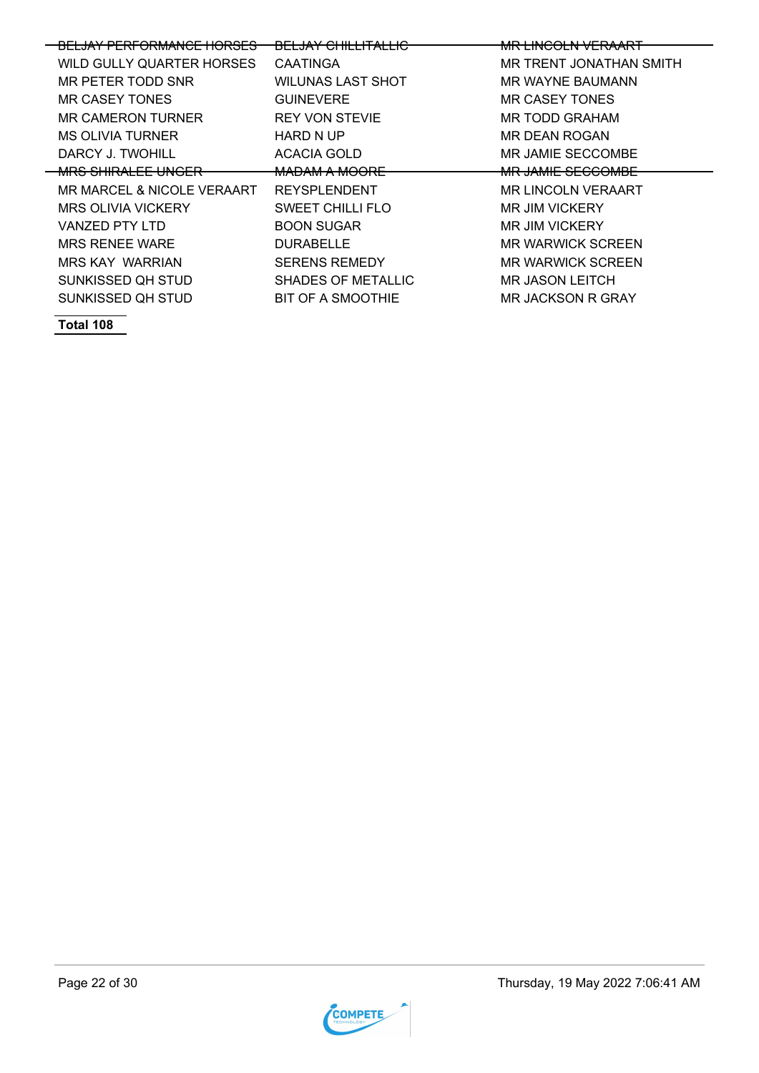| <b>BELJAY PERFORMANCE HORSES</b> | <del>BELJAY CHILLITALLIC</del> | <b>MR LINCOLN VERAART</b> |
|----------------------------------|--------------------------------|---------------------------|
|                                  |                                |                           |
| WILD GULLY QUARTER HORSES        | <b>CAATINGA</b>                | MR TRENT JONATHAN SMITH   |
| MR PETER TODD SNR                | WILUNAS LAST SHOT              | MR WAYNE BAUMANN          |
| MR CASEY TONES                   | <b>GUINEVERE</b>               | MR CASEY TONES            |
| MR CAMERON TURNER                | <b>REY VON STEVIE</b>          | MR TODD GRAHAM            |
| <b>MS OLIVIA TURNER</b>          | HARD N UP                      | MR DEAN ROGAN             |
| DARCY J. TWOHILL                 | ACACIA GOLD                    | MR JAMIE SECCOMBE         |
| <b>MRS SHIRALEE UNGER</b>        | <b>MADAM A MOORE</b>           | <b>MR JAMIE SECCOMBE</b>  |
| MR MARCEL & NICOLE VERAART       | <b>REYSPLENDENT</b>            | <b>MR LINCOLN VERAART</b> |
| <b>MRS OLIVIA VICKERY</b>        | <b>SWEET CHILLI FLO</b>        | <b>MR JIM VICKERY</b>     |
| <b>VANZED PTY LTD</b>            | <b>BOON SUGAR</b>              | <b>MR JIM VICKERY</b>     |
| <b>MRS RENEE WARE</b>            | <b>DURABELLE</b>               | <b>MR WARWICK SCREEN</b>  |
| <b>MRS KAY WARRIAN</b>           | <b>SERENS REMEDY</b>           | <b>MR WARWICK SCREEN</b>  |
| SUNKISSED QH STUD                | SHADES OF METALLIC             | MR JASON LEITCH           |
| SUNKISSED QH STUD                | BIT OF A SMOOTHIE              | MR JACKSON R GRAY         |

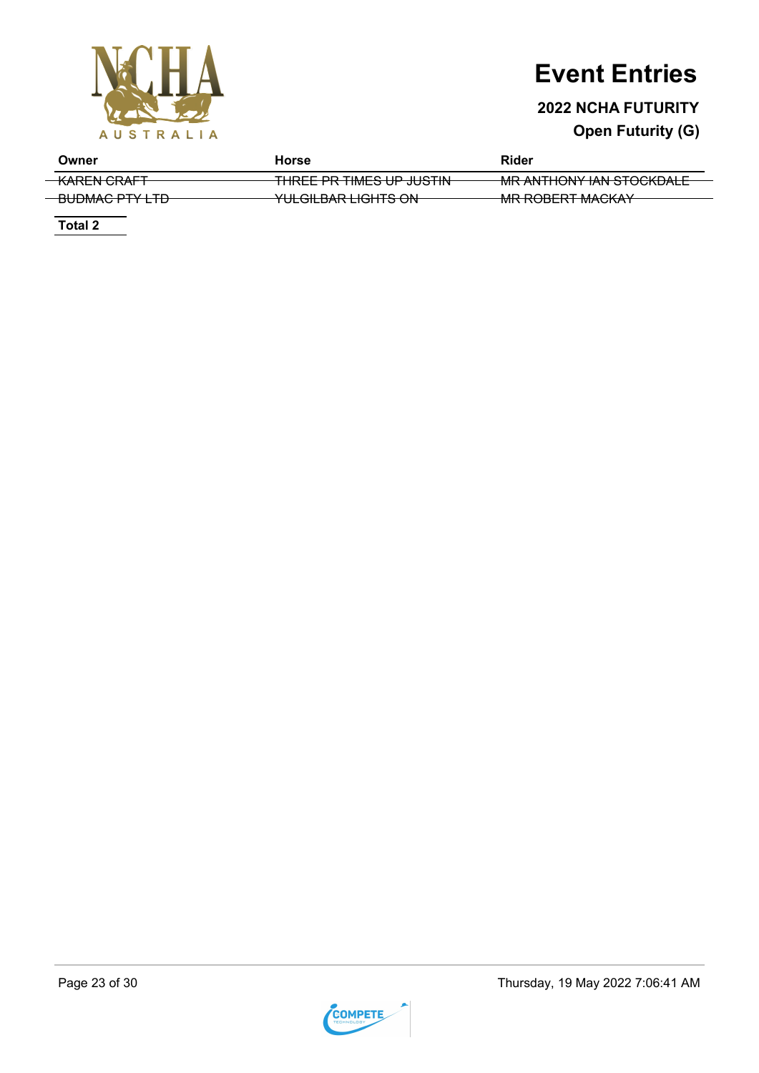

### **2022 NCHA FUTURITY**

### **Open Futurity (G)**

| Owner                  | Horse                                                             | Rider                                                       |
|------------------------|-------------------------------------------------------------------|-------------------------------------------------------------|
| <del>KAREN CRAFT</del> | TUDEF DD TIMER UD ILICTIN<br>TIKEE FR TIME <del>S OF JUSTIN</del> | MD ANTHONY IAN CTOCKDALE<br><u>MIKANTHUNT IAN STUCKDALE</u> |
|                        | ומר הדוורונות והמיוור וווו                                        | $MD$ DODEDT MAQIZAV                                         |
| <del>UUWACTITIU</del>  | <del>יטב סוונוסום האמםונס בוס</del>                               | <b>TWIN NUDERT IWAUNAT</b>                                  |

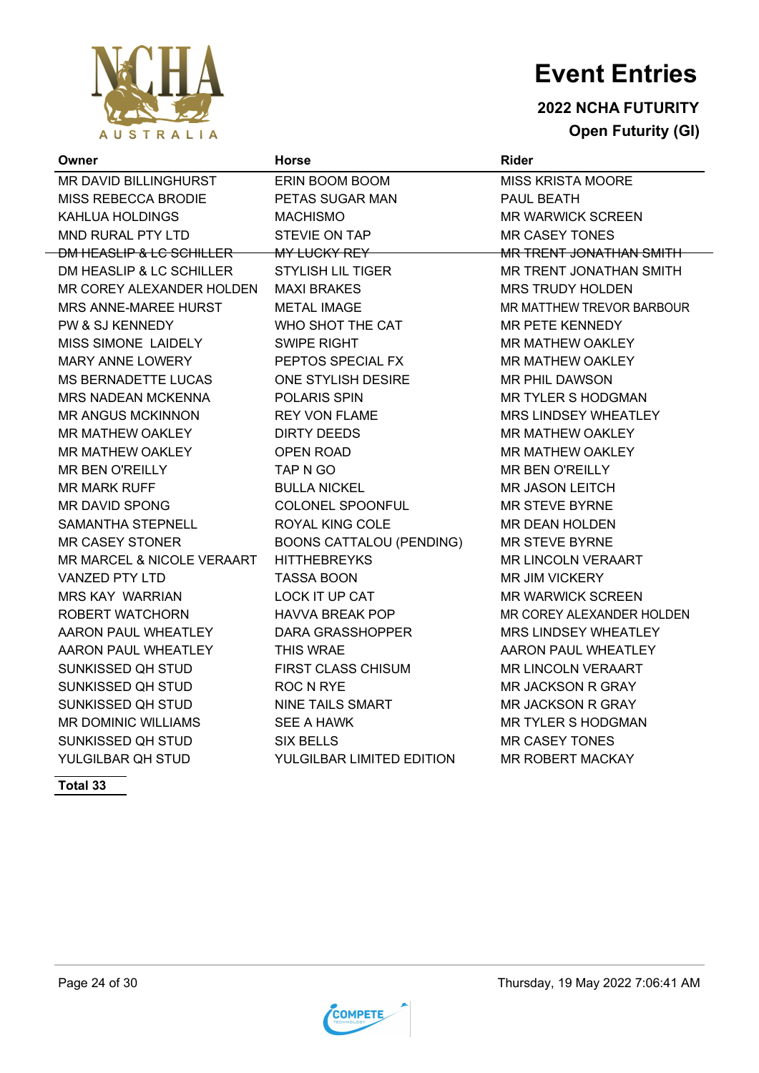

### **2022 NCHA FUTURITY Open Futurity (GI)**

| Owner                      | <b>Horse</b>                    | <b>Rider</b>                   |
|----------------------------|---------------------------------|--------------------------------|
| MR DAVID BILLINGHURST      | ERIN BOOM BOOM                  | <b>MISS KRISTA MOORE</b>       |
| MISS REBECCA BRODIE        | PETAS SUGAR MAN                 | PAUL BEATH                     |
| KAHLUA HOLDINGS            | <b>MACHISMO</b>                 | <b>MR WARWICK SCREEN</b>       |
| MND RURAL PTY LTD          | STEVIE ON TAP                   | <b>MR CASEY TONES</b>          |
| DM HEASLIP & LC SCHILLER   | MY LUCKY REY                    | <b>MR TRENT JONATHAN SMITH</b> |
| DM HEASLIP & LC SCHILLER   | <b>STYLISH LIL TIGER</b>        | MR TRENT JONATHAN SMITH        |
| MR COREY ALEXANDER HOLDEN  | <b>MAXI BRAKES</b>              | <b>MRS TRUDY HOLDEN</b>        |
| MRS ANNE-MAREE HURST       | <b>METAL IMAGE</b>              | MR MATTHEW TREVOR BARBOUR      |
| PW & SJ KENNEDY            | WHO SHOT THE CAT                | <b>MR PETE KENNEDY</b>         |
| MISS SIMONE LAIDELY        | <b>SWIPE RIGHT</b>              | <b>MR MATHEW OAKLEY</b>        |
| MARY ANNE LOWERY           | PEPTOS SPECIAL FX               | <b>MR MATHEW OAKLEY</b>        |
| <b>MS BERNADETTE LUCAS</b> | ONE STYLISH DESIRE              | MR PHIL DAWSON                 |
| <b>MRS NADEAN MCKENNA</b>  | <b>POLARIS SPIN</b>             | <b>MR TYLER S HODGMAN</b>      |
| <b>MR ANGUS MCKINNON</b>   | <b>REY VON FLAME</b>            | <b>MRS LINDSEY WHEATLEY</b>    |
| MR MATHEW OAKLEY           | <b>DIRTY DEEDS</b>              | MR MATHEW OAKLEY               |
| MR MATHEW OAKLEY           | <b>OPEN ROAD</b>                | MR MATHEW OAKLEY               |
| <b>MR BEN O'REILLY</b>     | TAP N GO                        | <b>MR BEN O'REILLY</b>         |
| <b>MR MARK RUFF</b>        | <b>BULLA NICKEL</b>             | <b>MR JASON LEITCH</b>         |
| <b>MR DAVID SPONG</b>      | COLONEL SPOONFUL                | <b>MR STEVE BYRNE</b>          |
| SAMANTHA STEPNELL          | ROYAL KING COLE                 | <b>MR DEAN HOLDEN</b>          |
| <b>MR CASEY STONER</b>     | <b>BOONS CATTALOU (PENDING)</b> | <b>MR STEVE BYRNE</b>          |
| MR MARCEL & NICOLE VERAART | <b>HITTHEBREYKS</b>             | <b>MR LINCOLN VERAART</b>      |
| VANZED PTY LTD             | <b>TASSA BOON</b>               | <b>MR JIM VICKERY</b>          |
| <b>MRS KAY WARRIAN</b>     | LOCK IT UP CAT                  | <b>MR WARWICK SCREEN</b>       |
| ROBERT WATCHORN            | <b>HAVVA BREAK POP</b>          | MR COREY ALEXANDER HOLDEN      |
| AARON PAUL WHEATLEY        | DARA GRASSHOPPER                | <b>MRS LINDSEY WHEATLEY</b>    |
| AARON PAUL WHEATLEY        | <b>THIS WRAE</b>                | AARON PAUL WHEATLEY            |
| SUNKISSED QH STUD          | <b>FIRST CLASS CHISUM</b>       | <b>MR LINCOLN VERAART</b>      |
| SUNKISSED QH STUD          | <b>ROC N RYE</b>                | <b>MR JACKSON R GRAY</b>       |
| SUNKISSED QH STUD          | <b>NINE TAILS SMART</b>         | <b>MR JACKSON R GRAY</b>       |
| <b>MR DOMINIC WILLIAMS</b> | <b>SEE A HAWK</b>               | <b>MR TYLER S HODGMAN</b>      |
| SUNKISSED QH STUD          | <b>SIX BELLS</b>                | <b>MR CASEY TONES</b>          |
| YULGILBAR QH STUD          | YULGILBAR LIMITED EDITION       | <b>MR ROBERT MACKAY</b>        |

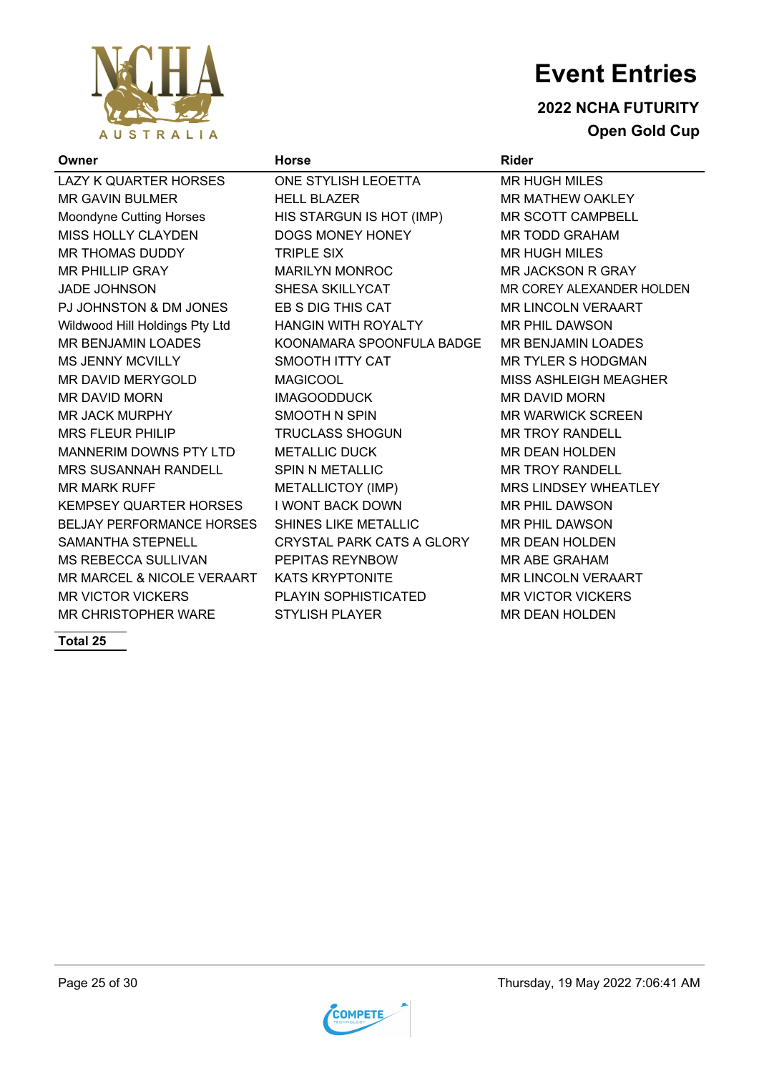

 $\overline{a}$ 

# **Event Entries**

### **2022 NCHA FUTURITY Open Gold Cup**

| Owner                            | <b>Horse</b>                | <b>Rider</b>                 |
|----------------------------------|-----------------------------|------------------------------|
| <b>LAZY K QUARTER HORSES</b>     | ONE STYLISH LEOETTA         | <b>MR HUGH MILES</b>         |
| <b>MR GAVIN BULMER</b>           | <b>HELL BLAZER</b>          | <b>MR MATHEW OAKLEY</b>      |
| Moondyne Cutting Horses          | HIS STARGUN IS HOT (IMP)    | <b>MR SCOTT CAMPBELL</b>     |
| <b>MISS HOLLY CLAYDEN</b>        | DOGS MONEY HONEY            | <b>MR TODD GRAHAM</b>        |
| MR THOMAS DUDDY                  | <b>TRIPLE SIX</b>           | <b>MR HUGH MILES</b>         |
| <b>MR PHILLIP GRAY</b>           | <b>MARILYN MONROC</b>       | <b>MR JACKSON R GRAY</b>     |
| <b>JADE JOHNSON</b>              | SHESA SKILLYCAT             | MR COREY ALEXANDER HOLDEN    |
| PJ JOHNSTON & DM JONES           | EB S DIG THIS CAT           | <b>MR LINCOLN VERAART</b>    |
| Wildwood Hill Holdings Pty Ltd   | HANGIN WITH ROYALTY         | MR PHIL DAWSON               |
| <b>MR BENJAMIN LOADES</b>        | KOONAMARA SPOONFULA BADGE   | <b>MR BENJAMIN LOADES</b>    |
| <b>MS JENNY MCVILLY</b>          | SMOOTH ITTY CAT             | <b>MR TYLER S HODGMAN</b>    |
| MR DAVID MERYGOLD                | <b>MAGICOOL</b>             | <b>MISS ASHLEIGH MEAGHER</b> |
| <b>MR DAVID MORN</b>             | <b>IMAGOODDUCK</b>          | <b>MR DAVID MORN</b>         |
| MR JACK MURPHY                   | <b>SMOOTH N SPIN</b>        | <b>MR WARWICK SCREEN</b>     |
| <b>MRS FLEUR PHILIP</b>          | <b>TRUCLASS SHOGUN</b>      | <b>MR TROY RANDELL</b>       |
| MANNERIM DOWNS PTY LTD           | <b>METALLIC DUCK</b>        | <b>MR DEAN HOLDEN</b>        |
| <b>MRS SUSANNAH RANDELL</b>      | <b>SPIN N METALLIC</b>      | <b>MR TROY RANDELL</b>       |
| <b>MR MARK RUFF</b>              | METALLICTOY (IMP)           | <b>MRS LINDSEY WHEATLEY</b>  |
| <b>KEMPSEY QUARTER HORSES</b>    | <b>I WONT BACK DOWN</b>     | <b>MR PHIL DAWSON</b>        |
| <b>BELJAY PERFORMANCE HORSES</b> | <b>SHINES LIKE METALLIC</b> | <b>MR PHIL DAWSON</b>        |
| SAMANTHA STEPNELL                | CRYSTAL PARK CATS A GLORY   | <b>MR DEAN HOLDEN</b>        |
| MS REBECCA SULLIVAN              | PEPITAS REYNBOW             | <b>MR ABE GRAHAM</b>         |
| MR MARCEL & NICOLE VERAART       | <b>KATS KRYPTONITE</b>      | <b>MR LINCOLN VERAART</b>    |
| <b>MR VICTOR VICKERS</b>         | PLAYIN SOPHISTICATED        | <b>MR VICTOR VICKERS</b>     |
| MR CHRISTOPHER WARE              | <b>STYLISH PLAYER</b>       | <b>MR DEAN HOLDEN</b>        |

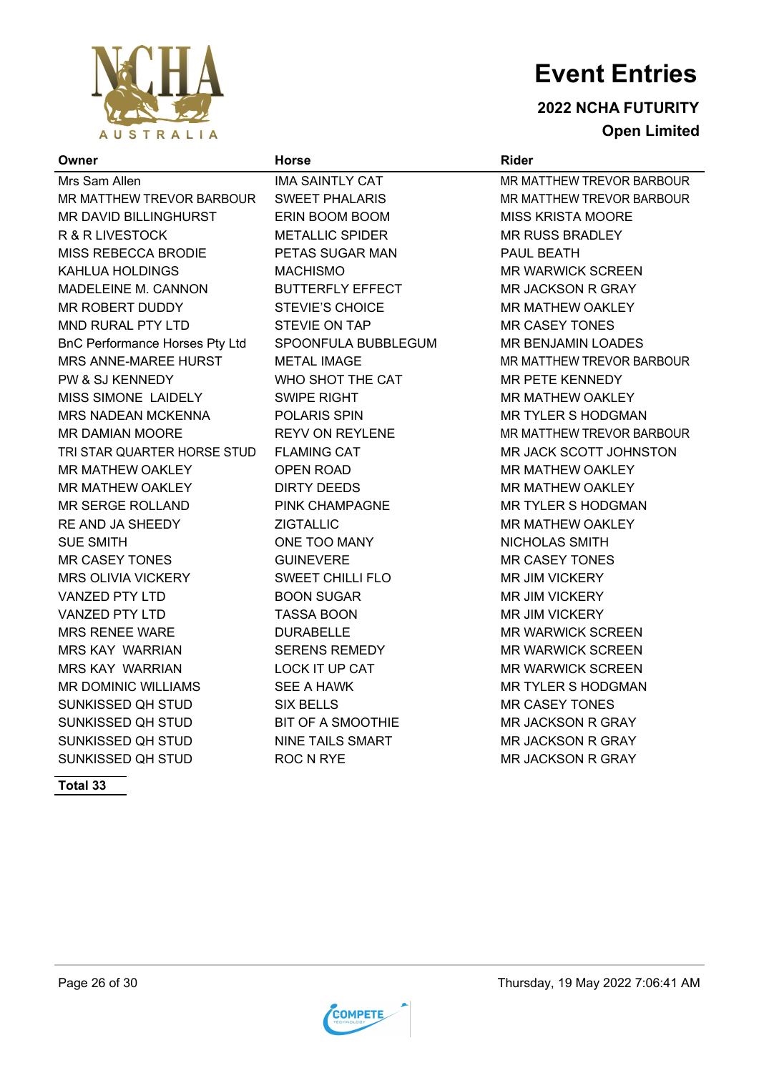

**2022 NCHA FUTURITY Open Limited**

#### **Owner Horse Rider**

Mrs Sam Allen **IMA SAINTLY CAT THE MR MATTHEW TREVOR BARBOUR** MR MATTHEW TREVOR BARBOUR SWEET PHALARIS MARIAM MR MATTHEW TREVOR BARBOUR MR DAVID BILLINGHURST ERIN BOOM BOOM NOORE MISS KRISTA MOORE R & R LIVESTOCK METALLIC SPIDER MR RUSS BRADLEY MISS REBECCA BRODIE PETAS SUGAR MAN PAUL BEATH KAHLUA HOLDINGS MACHISMO MR WARWICK SCREEN MADELEINE M. CANNON BUTTERFLY EFFECT MR JACKSON R GRAY MR ROBERT DUDDY STEVIE'S CHOICE FOR MATHEW OAKLEY MND RURAL PTY LTD STEVIE ON TAP GASEY TONES BnC Performance Horses Pty Ltd SPOONFULA BUBBLEGUM MR BENJAMIN LOADES MRS ANNE-MAREE HURST AND METAL IMAGE METAL MAGE MR MATTHEW TREVOR BARBOUR PW & SJ KENNEDY WHO SHOT THE CAT MR PETE KENNEDY MISS SIMONE LAIDELY SWIPE RIGHT MR MATHEW OAKLEY MRS NADEAN MCKENNA POLARIS SPIN MR TYLER S HODGMAN MR DAMIAN MOORE REYV ON REYLENE FOR MR MATTHEW TREVOR BARBOUR TRI STAR QUARTER HORSE STUD FLAMING CAT **MR JACK SCOTT JOHNSTON** MR MATHEW OAKLEY OPEN ROAD GOOD MR MATHEW OAKLEY MR MATHEW OAKLEY **DIRTY DEEDS** MR MATHEW OAKLEY MR SERGE ROLLAND PINK CHAMPAGNE MR TYLER S HODGMAN RE AND JA SHEEDY **EXAMPLE AND A SHEEDY AND A SHEEDY** ZIGTALLIC **MR MATHEW OAKLEY** SUE SMITH GIVE TOO MANY A GIVE AND LAS SMITH MR CASEY TONES GUINEVERE GUINEVERE MR CASEY TONES MRS OLIVIA VICKERY **SWEET CHILLI FLO** MR JIM VICKERY VANZED PTY LTD BOON SUGAR MR JIM VICKERY VANZED PTY LTD TASSA BOON MR JIM VICKERY MRS RENEE WARE DURABELLE MR WARWICK SCREEN MRS KAY WARRIAN SERENS REMEDY MR WARWICK SCREEN MRS KAY WARRIAN LOCK IT UP CAT MR WARWICK SCREEN MR DOMINIC WILLIAMS SEE A HAWK MR TYLER S HODGMAN SUNKISSED QH STUD SIX BELLS MR CASEY TONES SUNKISSED QH STUD BIT OF A SMOOTHIE GERAY MR JACKSON R GRAY SUNKISSED QH STUD NINE TAILS SMART NING TAILS AND MR JACKSON R GRAY SUNKISSED QH STUD ROC N RYE MR JACKSON R GRAY



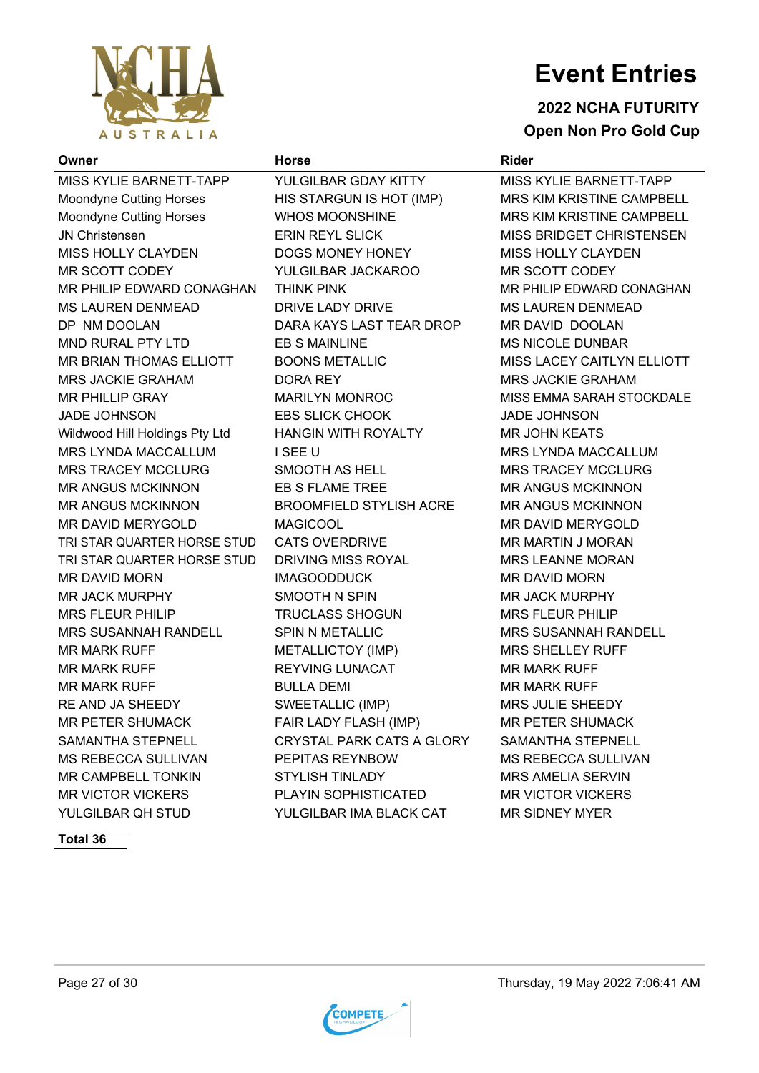

#### **2022 NCHA FUTURITY Open Non Pro Gold Cup**

#### **Owner Horse Rider**

MISS KYLIE BARNETT-TAPP YULGILBAR GDAY KITTY MISS KYLIE BARNETT-TAPP Moondyne Cutting Horses **HIS STARGUN IS HOT (IMP)** MRS KIM KRISTINE CAMPBELL Moondyne Cutting Horses WHOS MOONSHINE MRS KIM KRISTINE CAMPBELL JN Christensen **ERIN REYL SLICK MISS BRIDGET CHRISTENSEN** MISS HOLLY CLAYDEN DOGS MONEY HONEY MISS HOLLY CLAYDEN MR SCOTT CODEY YULGILBAR JACKAROO MR SCOTT CODEY MR PHILIP EDWARD CONAGHAN THINK PINK MARY MR PHILIP EDWARD CONAGHAN MS LAUREN DENMEAD DRIVE LADY DRIVE MS LAUREN DENMEAD DP NM DOOLAN DARA KAYS LAST TEAR DROP MR DAVID DOOLAN MND RURAL PTY LTD EB S MAINLINE MS NICOLE DUNBAR MR BRIAN THOMAS ELLIOTT BOONS METALLIC MISS LACEY CAITLYN ELLIOTT MRS JACKIE GRAHAM DORA REY MRS JACKIE GRAHAM MR PHILLIP GRAY MARILYN MONROC MISS EMMA SARAH STOCKDALE JADE JOHNSON EBS SLICK CHOOK JADE JOHNSON Wildwood Hill Holdings Pty Ltd HANGIN WITH ROYALTY MR JOHN KEATS MRS LYNDA MACCALLUM I SEE U GARA MAS LYNDA MACCALLUM MRS TRACEY MCCLURG SMOOTH AS HELL **INGLISHED MRS TRACEY MCCLURG** MR ANGUS MCKINNON EB S FLAME TREE MR ANGUS MCKINNON MR ANGUS MCKINNON BROOMFIELD STYLISH ACRE MR ANGUS MCKINNON MR DAVID MERYGOLD MAGICOOL MAGICOOL MR DAVID MERYGOLD TRI STAR QUARTER HORSE STUD CATS OVERDRIVE MELLET MRIMARTIN JIMORAN TRI STAR QUARTER HORSE STUD DRIVING MISS ROYAL MRS LEANNE MORAN MR DAVID MORN IMAGOODDUCK MR DAVID MORN MR JACK MURPHY SMOOTH N SPIN MR JACK MURPHY MRS FLEUR PHILIP TRUCLASS SHOGUN MRS FLEUR PHILIP MRS SUSANNAH RANDELL SPIN N METALLIC MRS SUSANNAH RANDELL MR MARK RUFF **METALLICTOY (IMP)** MRS SHELLEY RUFF MR MARK RUFF **REYVING LUNACAT THE MR MARK RUFF** MR MARK RUFF **BULLA DEMI** MR MARK RUFF **MR MARK RUFF** RE AND JA SHEEDY SWEETALLIC (IMP) MRS JULIE SHEEDY MR PETER SHUMACK FAIR LADY FLASH (IMP) MR PETER SHUMACK SAMANTHA STEPNELL CRYSTAL PARK CATS A GLORY SAMANTHA STEPNELL MS REBECCA SULLIVAN PEPITAS REYNBOW MS REBECCA SULLIVAN MR CAMPBELL TONKIN STYLISH TINLADY MRS AMELIA SERVIN MR VICTOR VICKERS PLAYIN SOPHISTICATED MR VICTOR VICKERS YULGILBAR QH STUD YULGILBAR IMA BLACK CAT MR SIDNEY MYER



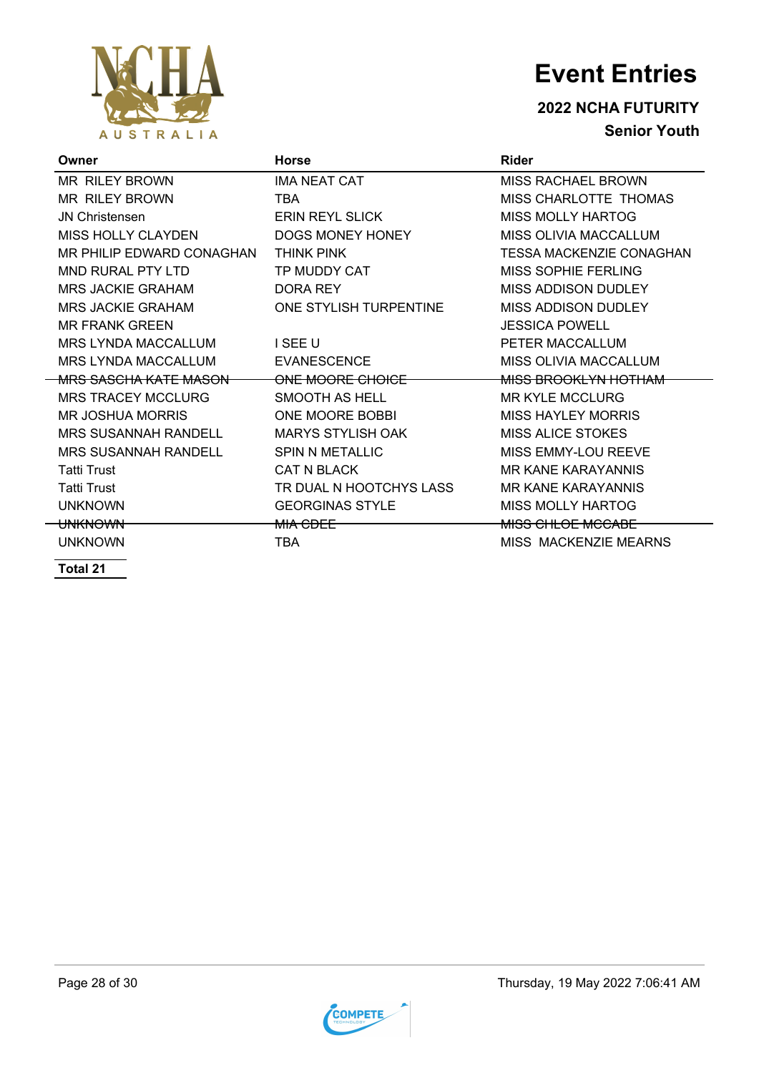

**2022 NCHA FUTURITY Senior Youth**

| Owner                             | <b>Horse</b>             | Rider                     |
|-----------------------------------|--------------------------|---------------------------|
| <b>MR RILEY BROWN</b>             | <b>IMA NEAT CAT</b>      | <b>MISS RACHAEL BROWN</b> |
| MR RILEY BROWN                    | <b>TBA</b>               | MISS CHARLOTTE THOMAS     |
| <b>JN Christensen</b>             | <b>ERIN REYL SLICK</b>   | MISS MOLLY HARTOG         |
| MISS HOLLY CLAYDEN                | DOGS MONEY HONEY         | MISS OLIVIA MACCALLUM     |
| MR PHILIP EDWARD CONAGHAN         | <b>THINK PINK</b>        | TESSA MACKENZIE CONAGHAN  |
| <b>MND RURAL PTY LTD</b>          | TP MUDDY CAT             | MISS SOPHIE FERLING       |
| <b>MRS JACKIE GRAHAM</b>          | DORA REY                 | MISS ADDISON DUDLEY       |
| <b>MRS JACKIE GRAHAM</b>          | ONE STYLISH TURPENTINE   | MISS ADDISON DUDLEY       |
| <b>MR FRANK GREEN</b>             |                          | JESSICA POWELL            |
| <b>MRS LYNDA MACCALLUM</b>        | I SEE U                  | PETER MACCALLUM           |
| <b>MRS LYNDA MACCALLUM</b>        | <b>EVANESCENCE</b>       | MISS OLIVIA MACCALLUM     |
| <del>MRS SASCHA KATE MASON-</del> | ONE MOORE CHOICE         | MISS BROOKLYN HOTHAM      |
| <b>MRS TRACEY MCCLURG</b>         | SMOOTH AS HELL           | <b>MR KYLE MCCLURG</b>    |
| MR JOSHUA MORRIS                  | ONE MOORE BOBBI          | <b>MISS HAYLEY MORRIS</b> |
| MRS SUSANNAH RANDELL              | <b>MARYS STYLISH OAK</b> | <b>MISS ALICE STOKES</b>  |
| <b>MRS SUSANNAH RANDELL</b>       | <b>SPIN N METALLIC</b>   | MISS EMMY-LOU REEVE       |
| <b>Tatti Trust</b>                | <b>CAT N BLACK</b>       | <b>MR KANE KARAYANNIS</b> |
| <b>Tatti Trust</b>                | TR DUAL N HOOTCHYS LASS  | <b>MR KANE KARAYANNIS</b> |
| <b>UNKNOWN</b>                    | <b>GEORGINAS STYLE</b>   | MISS MOLLY HARTOG         |
| <del>UNKNOWN</del>                | MIA CDEE                 | <b>MISS CHLOE MCCABE</b>  |
| <b>UNKNOWN</b>                    | TBA                      | MISS MACKENZIE MEARNS     |

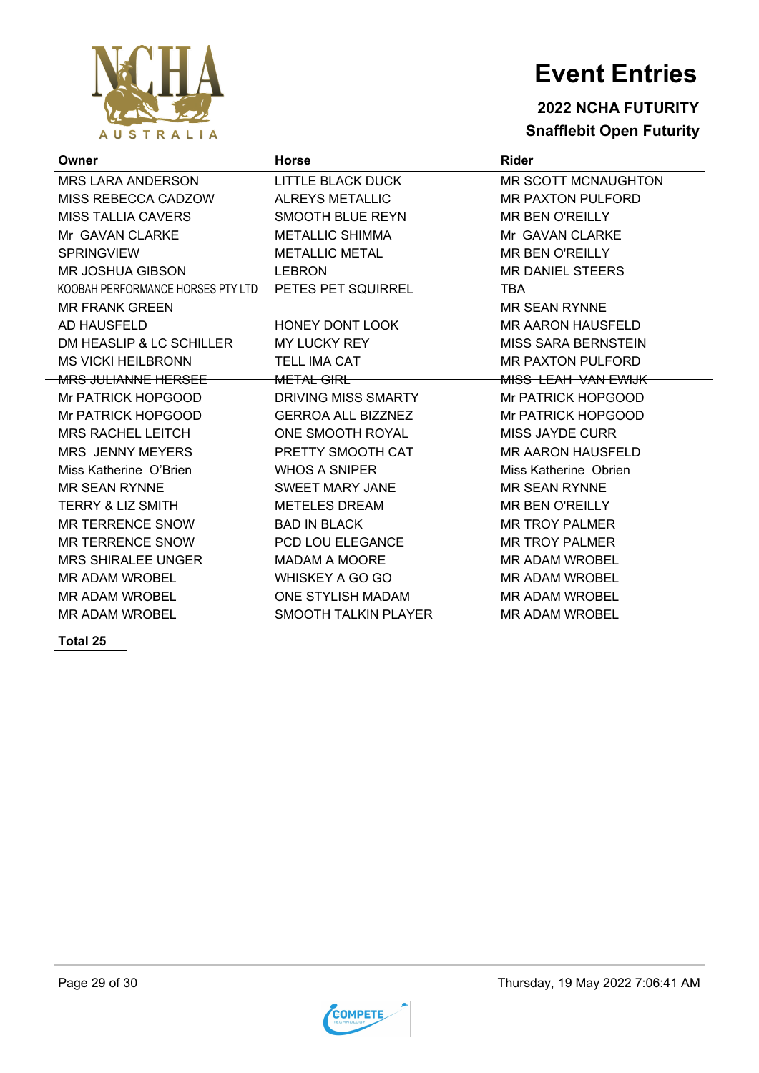

### **2022 NCHA FUTURITY Snafflebit Open Futurity**

| Owner                             | <b>Horse</b>                | <b>Rider</b>               |
|-----------------------------------|-----------------------------|----------------------------|
| <b>MRS LARA ANDERSON</b>          | <b>LITTLE BLACK DUCK</b>    | <b>MR SCOTT MCNAUGHTON</b> |
| MISS REBECCA CADZOW               | <b>ALREYS METALLIC</b>      | <b>MR PAXTON PULFORD</b>   |
| <b>MISS TALLIA CAVERS</b>         | <b>SMOOTH BLUE REYN</b>     | <b>MR BEN O'REILLY</b>     |
| Mr GAVAN CLARKE                   | <b>METALLIC SHIMMA</b>      | Mr GAVAN CLARKE            |
| <b>SPRINGVIEW</b>                 | <b>METALLIC METAL</b>       | <b>MR BEN O'REILLY</b>     |
| <b>MR JOSHUA GIBSON</b>           | <b>LEBRON</b>               | <b>MR DANIEL STEERS</b>    |
| KOOBAH PERFORMANCE HORSES PTY LTD | PETES PET SQUIRREL          | <b>TBA</b>                 |
| <b>MR FRANK GREEN</b>             |                             | <b>MR SEAN RYNNE</b>       |
| AD HAUSFELD                       | <b>HONEY DONT LOOK</b>      | <b>MR AARON HAUSFELD</b>   |
| DM HEASLIP & LC SCHILLER          | MY LUCKY REY                | <b>MISS SARA BERNSTEIN</b> |
| <b>MS VICKI HEILBRONN</b>         | <b>TELL IMA CAT</b>         | <b>MR PAXTON PULFORD</b>   |
| <del>MRS JULIANNE HERSEE</del>    | <del>METAL GIRL</del>       | <b>MISS LEAH VAN EWIJK</b> |
| Mr PATRICK HOPGOOD                | DRIVING MISS SMARTY         | Mr PATRICK HOPGOOD         |
| Mr PATRICK HOPGOOD                | <b>GERROA ALL BIZZNEZ</b>   | Mr PATRICK HOPGOOD         |
| <b>MRS RACHEL LEITCH</b>          | ONE SMOOTH ROYAL            | MISS JAYDE CURR            |
| <b>MRS JENNY MEYERS</b>           | PRETTY SMOOTH CAT           | <b>MR AARON HAUSFELD</b>   |
| Miss Katherine O'Brien            | <b>WHOS A SNIPER</b>        | Miss Katherine Obrien      |
| <b>MR SEAN RYNNE</b>              | SWEET MARY JANE             | <b>MR SEAN RYNNE</b>       |
| <b>TERRY &amp; LIZ SMITH</b>      | <b>METELES DREAM</b>        | <b>MR BEN O'REILLY</b>     |
| <b>MR TERRENCE SNOW</b>           | <b>BAD IN BLACK</b>         | <b>MR TROY PALMER</b>      |
| <b>MR TERRENCE SNOW</b>           | PCD LOU ELEGANCE            | <b>MR TROY PALMER</b>      |
| <b>MRS SHIRALEE UNGER</b>         | <b>MADAM A MOORE</b>        | <b>MR ADAM WROBEL</b>      |
| <b>MR ADAM WROBEL</b>             | WHISKEY A GO GO             | <b>MR ADAM WROBEL</b>      |
| <b>MR ADAM WROBEL</b>             | ONE STYLISH MADAM           | <b>MR ADAM WROBEL</b>      |
| <b>MR ADAM WROBEL</b>             | <b>SMOOTH TALKIN PLAYER</b> | <b>MR ADAM WROBEL</b>      |